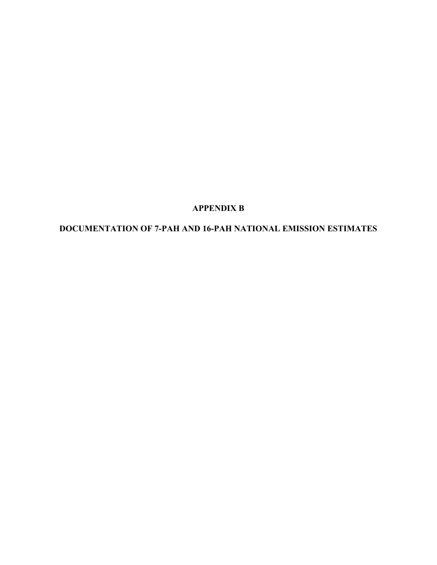# **APPENDIX B**

# **DOCUMENTATION OF 7-PAH AND 16-PAH NATIONAL EMISSION ESTIMATES**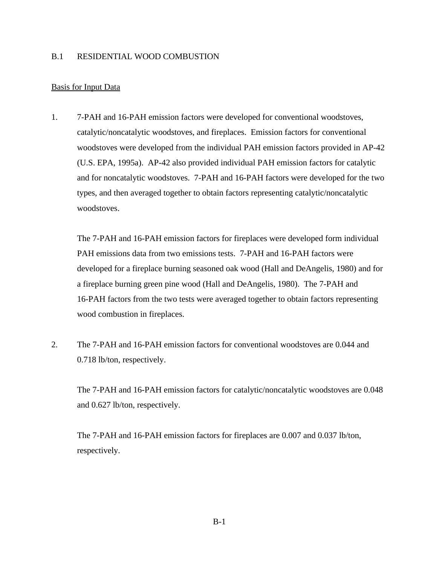### B.1 RESIDENTIAL WOOD COMBUSTION

#### Basis for Input Data

1. 7-PAH and 16-PAH emission factors were developed for conventional woodstoves, catalytic/noncatalytic woodstoves, and fireplaces. Emission factors for conventional woodstoves were developed from the individual PAH emission factors provided in AP-42 (U.S. EPA, 1995a). AP-42 also provided individual PAH emission factors for catalytic and for noncatalytic woodstoves. 7-PAH and 16-PAH factors were developed for the two types, and then averaged together to obtain factors representing catalytic/noncatalytic woodstoves.

The 7-PAH and 16-PAH emission factors for fireplaces were developed form individual PAH emissions data from two emissions tests. 7-PAH and 16-PAH factors were developed for a fireplace burning seasoned oak wood (Hall and DeAngelis, 1980) and for a fireplace burning green pine wood (Hall and DeAngelis, 1980). The 7-PAH and 16-PAH factors from the two tests were averaged together to obtain factors representing wood combustion in fireplaces.

2. The 7-PAH and 16-PAH emission factors for conventional woodstoves are 0.044 and 0.718 lb/ton, respectively.

The 7-PAH and 16-PAH emission factors for catalytic/noncatalytic woodstoves are 0.048 and 0.627 lb/ton, respectively.

The 7-PAH and 16-PAH emission factors for fireplaces are 0.007 and 0.037 lb/ton, respectively.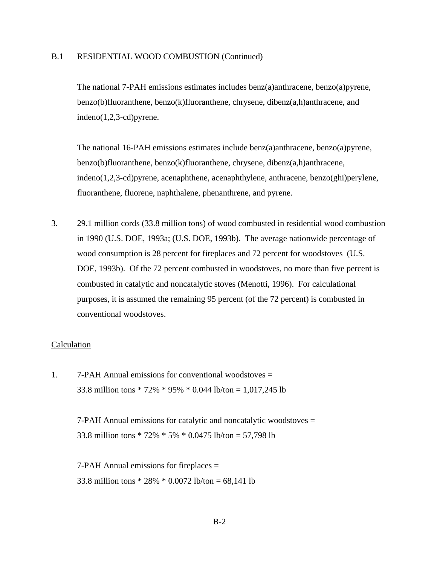#### B.1 RESIDENTIAL WOOD COMBUSTION (Continued)

The national 7-PAH emissions estimates includes benz(a)anthracene, benzo(a)pyrene, benzo(b)fluoranthene, benzo(k)fluoranthene, chrysene, dibenz(a,h)anthracene, and indeno(1,2,3-cd)pyrene.

The national 16-PAH emissions estimates include benz(a)anthracene, benzo(a)pyrene, benzo(b)fluoranthene, benzo(k)fluoranthene, chrysene, dibenz(a,h)anthracene, indeno(1,2,3-cd)pyrene, acenaphthene, acenaphthylene, anthracene, benzo(ghi)perylene, fluoranthene, fluorene, naphthalene, phenanthrene, and pyrene.

3. 29.1 million cords (33.8 million tons) of wood combusted in residential wood combustion in 1990 (U.S. DOE, 1993a; (U.S. DOE, 1993b). The average nationwide percentage of wood consumption is 28 percent for fireplaces and 72 percent for woodstoves (U.S. DOE, 1993b). Of the 72 percent combusted in woodstoves, no more than five percent is combusted in catalytic and noncatalytic stoves (Menotti, 1996). For calculational purposes, it is assumed the remaining 95 percent (of the 72 percent) is combusted in conventional woodstoves.

#### **Calculation**

1. 7-PAH Annual emissions for conventional woodstoves = 33.8 million tons \* 72% \* 95% \* 0.044 lb/ton = 1,017,245 lb

> 7-PAH Annual emissions for catalytic and noncatalytic woodstoves = 33.8 million tons \* 72% \* 5% \* 0.0475 lb/ton = 57,798 lb

7-PAH Annual emissions for fireplaces = 33.8 million tons \* 28% \* 0.0072 lb/ton = 68,141 lb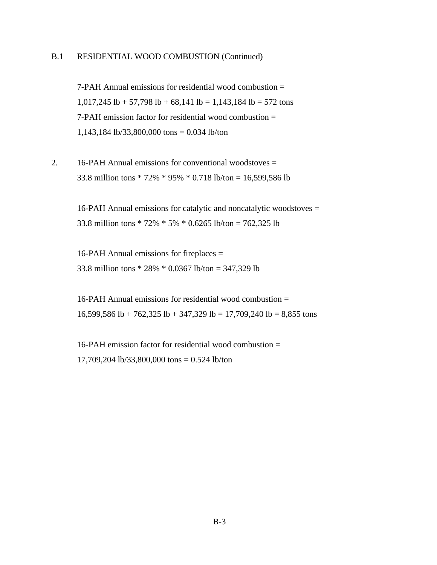## B.1 RESIDENTIAL WOOD COMBUSTION (Continued)

7-PAH Annual emissions for residential wood combustion = 1,017,245 lb + 57,798 lb + 68,141 lb = 1,143,184 lb = 572 tons 7-PAH emission factor for residential wood combustion = 1,143,184 lb/33,800,000 tons = 0.034 lb/ton

2. 16-PAH Annual emissions for conventional woodstoves = 33.8 million tons \* 72% \* 95% \* 0.718 lb/ton = 16,599,586 lb

> 16-PAH Annual emissions for catalytic and noncatalytic woodstoves = 33.8 million tons \* 72% \* 5% \* 0.6265 lb/ton = 762,325 lb

16-PAH Annual emissions for fireplaces = 33.8 million tons \* 28% \* 0.0367 lb/ton = 347,329 lb

16-PAH Annual emissions for residential wood combustion = 16,599,586 lb + 762,325 lb + 347,329 lb = 17,709,240 lb = 8,855 tons

16-PAH emission factor for residential wood combustion = 17,709,204 lb/33,800,000 tons = 0.524 lb/ton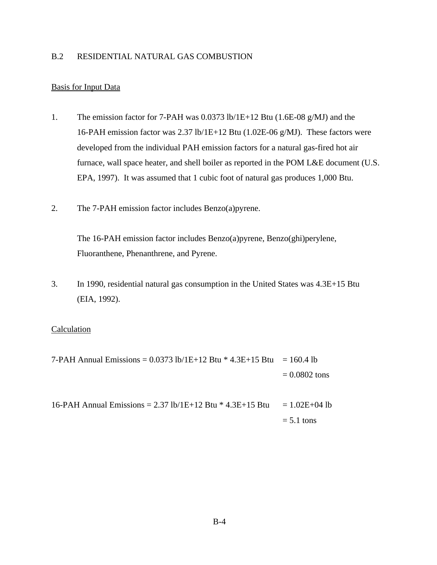# B.2 RESIDENTIAL NATURAL GAS COMBUSTION

## Basis for Input Data

- 1. The emission factor for 7-PAH was 0.0373 lb/1E+12 Btu (1.6E-08 g/MJ) and the 16-PAH emission factor was 2.37 lb/1E+12 Btu (1.02E-06 g/MJ). These factors were developed from the individual PAH emission factors for a natural gas-fired hot air furnace, wall space heater, and shell boiler as reported in the POM L&E document (U.S. EPA, 1997). It was assumed that 1 cubic foot of natural gas produces 1,000 Btu.
- 2. The 7-PAH emission factor includes Benzo(a)pyrene.

The 16-PAH emission factor includes Benzo(a)pyrene, Benzo(ghi)perylene, Fluoranthene, Phenanthrene, and Pyrene.

3. In 1990, residential natural gas consumption in the United States was 4.3E+15 Btu (EIA, 1992).

#### **Calculation**

7-PAH Annual Emissions =  $0.0373$  lb/1E+12 Btu \* 4.3E+15 Btu = 160.4 lb  $= 0.0802$  tons

16-PAH Annual Emissions = 2.37 lb/1E+12 Btu  $*$  4.3E+15 Btu = 1.02E+04 lb  $= 5.1$  tons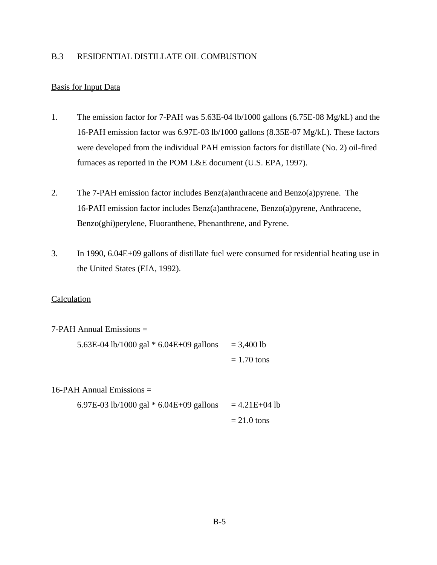## B.3 RESIDENTIAL DISTILLATE OIL COMBUSTION

## Basis for Input Data

- 1. The emission factor for 7-PAH was 5.63E-04 lb/1000 gallons (6.75E-08 Mg/kL) and the 16-PAH emission factor was 6.97E-03 lb/1000 gallons (8.35E-07 Mg/kL). These factors were developed from the individual PAH emission factors for distillate (No. 2) oil-fired furnaces as reported in the POM L&E document (U.S. EPA, 1997).
- 2. The 7-PAH emission factor includes Benz(a)anthracene and Benzo(a)pyrene. The 16-PAH emission factor includes Benz(a)anthracene, Benzo(a)pyrene, Anthracene, Benzo(ghi)perylene, Fluoranthene, Phenanthrene, and Pyrene.
- 3. In 1990, 6.04E+09 gallons of distillate fuel were consumed for residential heating use in the United States (EIA, 1992).

#### Calculation

| $7-PAH$ Annual Emissions $=$              |               |
|-------------------------------------------|---------------|
| 5.63E-04 lb/1000 gal $*$ 6.04E+09 gallons | $= 3,400$ lb  |
|                                           | $= 1.70$ tons |

16-PAH Annual Emissions =

6.97E-03 lb/1000 gal  $*$  6.04E+09 gallons = 4.21E+04 lb

$$
= 21.0 \text{ tons}
$$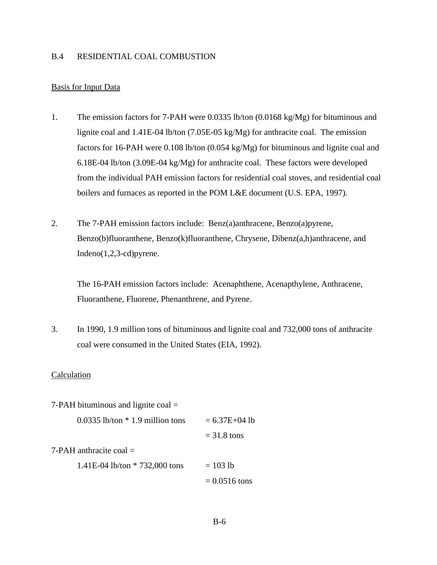#### B.4 RESIDENTIAL COAL COMBUSTION

#### Basis for Input Data

- 1. The emission factors for 7-PAH were 0.0335 lb/ton (0.0168 kg/Mg) for bituminous and lignite coal and 1.41E-04 lb/ton (7.05E-05 kg/Mg) for anthracite coal. The emission factors for 16-PAH were 0.108 lb/ton (0.054 kg/Mg) for bituminous and lignite coal and 6.18E-04 lb/ton (3.09E-04 kg/Mg) for anthracite coal. These factors were developed from the individual PAH emission factors for residential coal stoves, and residential coal boilers and furnaces as reported in the POM L&E document (U.S. EPA, 1997).
- 2. The 7-PAH emission factors include: Benz(a)anthracene, Benzo(a)pyrene, Benzo(b)fluoranthene, Benzo(k)fluoranthene, Chrysene, Dibenz(a,h)anthracene, and Indeno(1,2,3-cd)pyrene.

The 16-PAH emission factors include: Acenaphthene, Acenapthylene, Anthracene, Fluoranthene, Fluorene, Phenanthrene, and Pyrene.

3. In 1990, 1.9 million tons of bituminous and lignite coal and 732,000 tons of anthracite coal were consumed in the United States (EIA, 1992).

| $7-PAH$ bituminous and lignite coal $=$ |                   |
|-----------------------------------------|-------------------|
| $0.0335$ lb/ton $*$ 1.9 million tons    | $= 6.37E + 04$ lb |
|                                         | $=$ 31.8 tons     |
| $7-PAH$ anthracite coal $=$             |                   |
| 1.41E-04 lb/ton $* 732,000$ tons        | $= 103$ lb        |
|                                         | $= 0.0516$ tons   |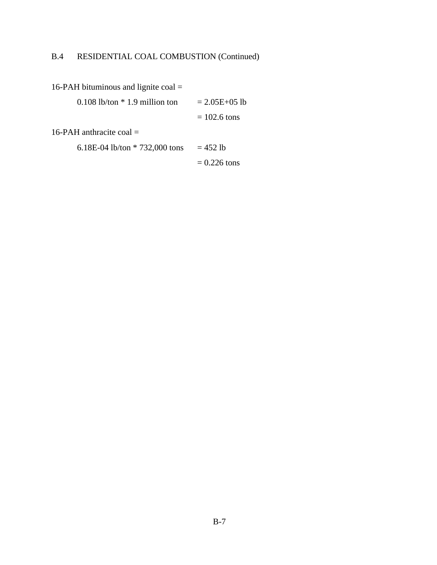# B.4 RESIDENTIAL COAL COMBUSTION (Continued)

16-PAH bituminous and lignite coal = 0.108 lb/ton  $*$  1.9 million ton = 2.05E+05 lb  $= 102.6$  tons 16-PAH anthracite coal = 6.18E-04 lb/ton  $* 732,000$  tons = 452 lb  $= 0.226$  tons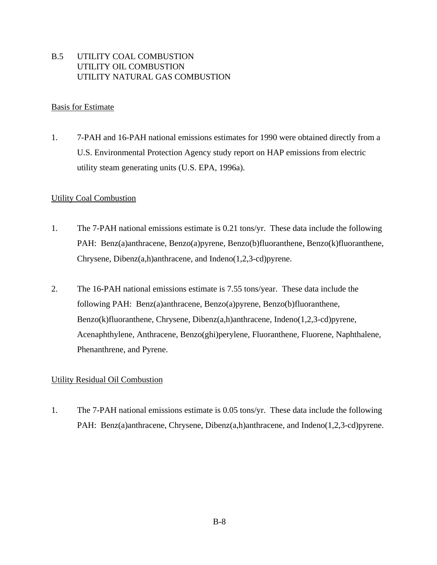# B.5 UTILITY COAL COMBUSTION UTILITY OIL COMBUSTION UTILITY NATURAL GAS COMBUSTION

## Basis for Estimate

1. 7-PAH and 16-PAH national emissions estimates for 1990 were obtained directly from a U.S. Environmental Protection Agency study report on HAP emissions from electric utility steam generating units (U.S. EPA, 1996a).

## Utility Coal Combustion

- 1. The 7-PAH national emissions estimate is 0.21 tons/yr. These data include the following PAH: Benz(a)anthracene, Benzo(a)pyrene, Benzo(b)fluoranthene, Benzo(k)fluoranthene, Chrysene, Dibenz(a,h)anthracene, and Indeno(1,2,3-cd)pyrene.
- 2. The 16-PAH national emissions estimate is 7.55 tons/year. These data include the following PAH: Benz(a)anthracene, Benzo(a)pyrene, Benzo(b)fluoranthene, Benzo(k)fluoranthene, Chrysene, Dibenz(a,h)anthracene, Indeno(1,2,3-cd)pyrene, Acenaphthylene, Anthracene, Benzo(ghi)perylene, Fluoranthene, Fluorene, Naphthalene, Phenanthrene, and Pyrene.

#### Utility Residual Oil Combustion

1. The 7-PAH national emissions estimate is 0.05 tons/yr. These data include the following PAH: Benz(a)anthracene, Chrysene, Dibenz(a,h)anthracene, and Indeno(1,2,3-cd)pyrene.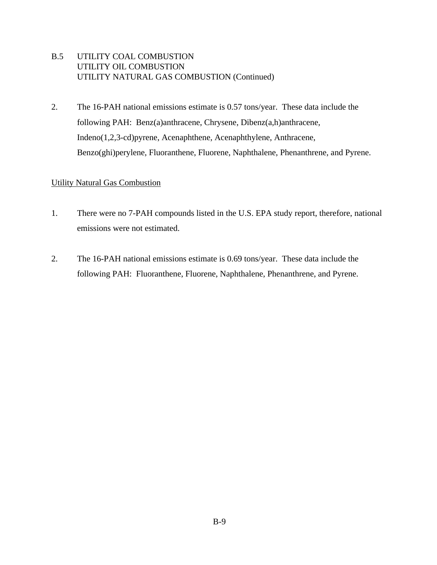- B.5 UTILITY COAL COMBUSTION UTILITY OIL COMBUSTION UTILITY NATURAL GAS COMBUSTION (Continued)
- 2. The 16-PAH national emissions estimate is 0.57 tons/year. These data include the following PAH: Benz(a)anthracene, Chrysene, Dibenz(a,h)anthracene, Indeno(1,2,3-cd)pyrene, Acenaphthene, Acenaphthylene, Anthracene, Benzo(ghi)perylene, Fluoranthene, Fluorene, Naphthalene, Phenanthrene, and Pyrene.

# Utility Natural Gas Combustion

- 1. There were no 7-PAH compounds listed in the U.S. EPA study report, therefore, national emissions were not estimated.
- 2. The 16-PAH national emissions estimate is 0.69 tons/year. These data include the following PAH: Fluoranthene, Fluorene, Naphthalene, Phenanthrene, and Pyrene.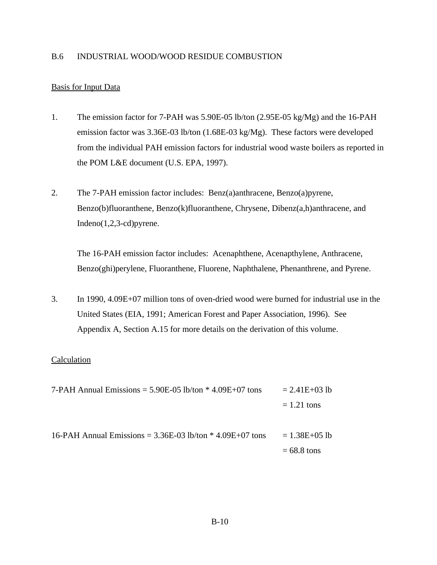#### B.6 INDUSTRIAL WOOD/WOOD RESIDUE COMBUSTION

## Basis for Input Data

- 1. The emission factor for 7-PAH was 5.90E-05 lb/ton (2.95E-05 kg/Mg) and the 16-PAH emission factor was 3.36E-03 lb/ton (1.68E-03 kg/Mg). These factors were developed from the individual PAH emission factors for industrial wood waste boilers as reported in the POM L&E document (U.S. EPA, 1997).
- 2. The 7-PAH emission factor includes: Benz(a)anthracene, Benzo(a)pyrene, Benzo(b)fluoranthene, Benzo(k)fluoranthene, Chrysene, Dibenz(a,h)anthracene, and Indeno(1,2,3-cd)pyrene.

The 16-PAH emission factor includes: Acenaphthene, Acenapthylene, Anthracene, Benzo(ghi)perylene, Fluoranthene, Fluorene, Naphthalene, Phenanthrene, and Pyrene.

3. In 1990, 4.09E+07 million tons of oven-dried wood were burned for industrial use in the United States (EIA, 1991; American Forest and Paper Association, 1996). See Appendix A, Section A.15 for more details on the derivation of this volume.

| 7-PAH Annual Emissions = $5.90E-05$ lb/ton $*$ 4.09E+07 tons  | $= 2.41E + 03 lb$ |
|---------------------------------------------------------------|-------------------|
|                                                               | $= 1.21$ tons     |
| 16-PAH Annual Emissions = $3.36E-03$ lb/ton $*$ 4.09E+07 tons | $= 1.38E + 05 lb$ |
|                                                               | $= 68.8$ tons     |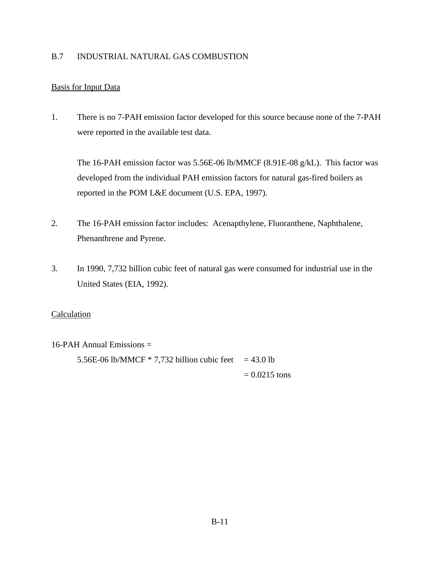# B.7 INDUSTRIAL NATURAL GAS COMBUSTION

# Basis for Input Data

1. There is no 7-PAH emission factor developed for this source because none of the 7-PAH were reported in the available test data.

The 16-PAH emission factor was 5.56E-06 lb/MMCF (8.91E-08 g/kL). This factor was developed from the individual PAH emission factors for natural gas-fired boilers as reported in the POM L&E document (U.S. EPA, 1997).

- 2. The 16-PAH emission factor includes: Acenapthylene, Fluoranthene, Naphthalene, Phenanthrene and Pyrene.
- 3. In 1990, 7,732 billion cubic feet of natural gas were consumed for industrial use in the United States (EIA, 1992).

## Calculation

16-PAH Annual Emissions =

5.56E-06 lb/MMCF  $*$  7,732 billion cubic feet = 43.0 lb  $= 0.0215$  tons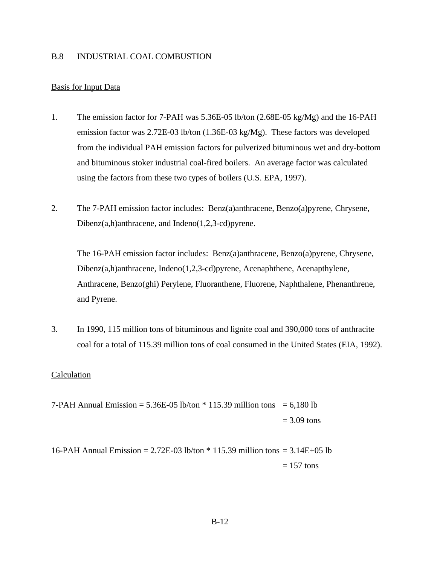#### B.8 INDUSTRIAL COAL COMBUSTION

### Basis for Input Data

- 1. The emission factor for 7-PAH was 5.36E-05 lb/ton (2.68E-05 kg/Mg) and the 16-PAH emission factor was 2.72E-03 lb/ton (1.36E-03 kg/Mg). These factors was developed from the individual PAH emission factors for pulverized bituminous wet and dry-bottom and bituminous stoker industrial coal-fired boilers. An average factor was calculated using the factors from these two types of boilers (U.S. EPA, 1997).
- 2. The 7-PAH emission factor includes: Benz(a)anthracene, Benzo(a)pyrene, Chrysene, Dibenz(a,h)anthracene, and Indeno(1,2,3-cd)pyrene.

The 16-PAH emission factor includes: Benz(a)anthracene, Benzo(a)pyrene, Chrysene, Dibenz(a,h)anthracene, Indeno(1,2,3-cd)pyrene, Acenaphthene, Acenapthylene, Anthracene, Benzo(ghi) Perylene, Fluoranthene, Fluorene, Naphthalene, Phenanthrene, and Pyrene.

3. In 1990, 115 million tons of bituminous and lignite coal and 390,000 tons of anthracite coal for a total of 115.39 million tons of coal consumed in the United States (EIA, 1992).

- 7-PAH Annual Emission =  $5.36E-05$  lb/ton  $*$  115.39 million tons = 6,180 lb  $= 3.09$  tons
- 16-PAH Annual Emission = 2.72E-03 lb/ton \* 115.39 million tons = 3.14E+05 lb  $= 157$  tons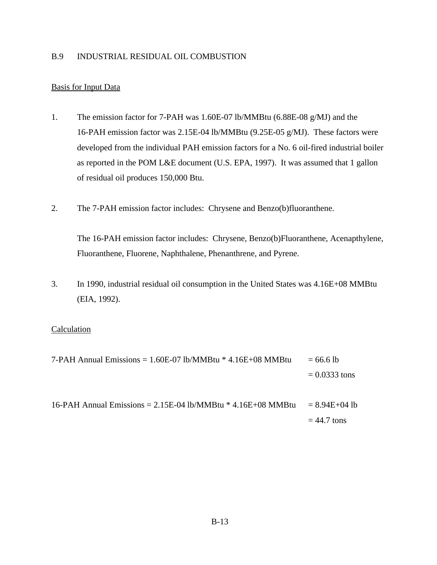## B.9 INDUSTRIAL RESIDUAL OIL COMBUSTION

## Basis for Input Data

- 1. The emission factor for 7-PAH was 1.60E-07 lb/MMBtu (6.88E-08 g/MJ) and the 16-PAH emission factor was 2.15E-04 lb/MMBtu (9.25E-05 g/MJ). These factors were developed from the individual PAH emission factors for a No. 6 oil-fired industrial boiler as reported in the POM L&E document (U.S. EPA, 1997). It was assumed that 1 gallon of residual oil produces 150,000 Btu.
- 2. The 7-PAH emission factor includes: Chrysene and Benzo(b)fluoranthene.

The 16-PAH emission factor includes: Chrysene, Benzo(b)Fluoranthene, Acenapthylene, Fluoranthene, Fluorene, Naphthalene, Phenanthrene, and Pyrene.

3. In 1990, industrial residual oil consumption in the United States was 4.16E+08 MMBtu (EIA, 1992).

- 7-PAH Annual Emissions =  $1.60E-07$  lb/MMBtu \*  $4.16E+08$  MMBtu = 66.6 lb  $= 0.0333$  tons
- 16-PAH Annual Emissions =  $2.15E-04$  lb/MMBtu  $*$  4.16E+08 MMBtu =  $8.94E+04$  lb  $= 44.7$  tons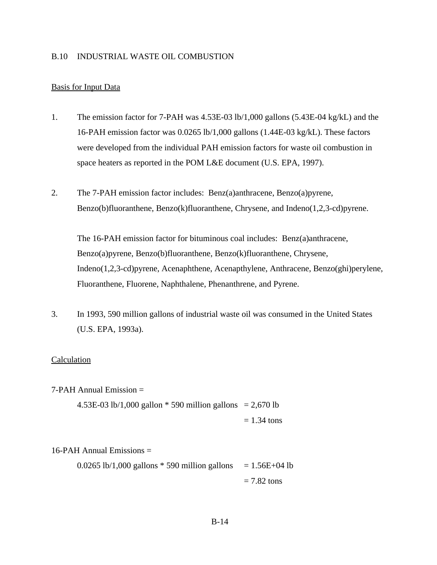#### B.10 INDUSTRIAL WASTE OIL COMBUSTION

### Basis for Input Data

- 1. The emission factor for 7-PAH was 4.53E-03 lb/1,000 gallons (5.43E-04 kg/kL) and the 16-PAH emission factor was 0.0265 lb/1,000 gallons (1.44E-03 kg/kL). These factors were developed from the individual PAH emission factors for waste oil combustion in space heaters as reported in the POM L&E document (U.S. EPA, 1997).
- 2. The 7-PAH emission factor includes: Benz(a)anthracene, Benzo(a)pyrene, Benzo(b)fluoranthene, Benzo(k)fluoranthene, Chrysene, and Indeno(1,2,3-cd)pyrene.

The 16-PAH emission factor for bituminous coal includes: Benz(a)anthracene, Benzo(a)pyrene, Benzo(b)fluoranthene, Benzo(k)fluoranthene, Chrysene, Indeno(1,2,3-cd)pyrene, Acenaphthene, Acenapthylene, Anthracene, Benzo(ghi)perylene, Fluoranthene, Fluorene, Naphthalene, Phenanthrene, and Pyrene.

3. In 1993, 590 million gallons of industrial waste oil was consumed in the United States (U.S. EPA, 1993a).

## Calculation

 $7-PAH$  Annual Emission  $=$ 

4.53E-03 lb/1,000 gallon  $*$  590 million gallons = 2,670 lb  $= 1.34$  tons

#### $16$ -PAH Annual Emissions  $=$

0.0265 lb/1,000 gallons  $*$  590 million gallons = 1.56E+04 lb  $= 7.82$  tons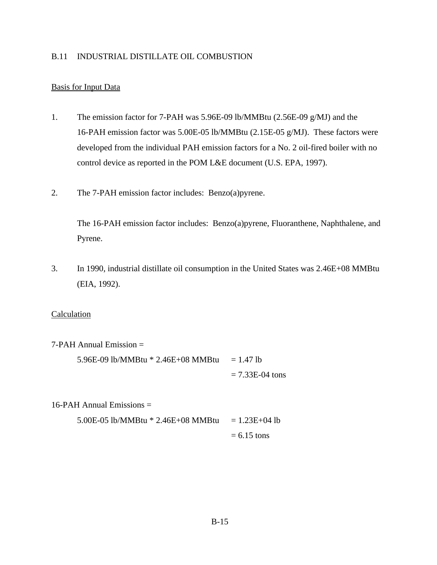### B.11 INDUSTRIAL DISTILLATE OIL COMBUSTION

## Basis for Input Data

- 1. The emission factor for 7-PAH was 5.96E-09 lb/MMBtu (2.56E-09 g/MJ) and the 16-PAH emission factor was 5.00E-05 lb/MMBtu (2.15E-05 g/MJ). These factors were developed from the individual PAH emission factors for a No. 2 oil-fired boiler with no control device as reported in the POM L&E document (U.S. EPA, 1997).
- 2. The 7-PAH emission factor includes: Benzo(a)pyrene.

The 16-PAH emission factor includes: Benzo(a)pyrene, Fluoranthene, Naphthalene, and Pyrene.

3. In 1990, industrial distillate oil consumption in the United States was 2.46E+08 MMBtu (EIA, 1992).

#### Calculation

7-PAH Annual Emission =

5.96E-09 lb/MMBtu  $* 2.46E+08$  MMBtu = 1.47 lb  $= 7.33E-04$  tons

16-PAH Annual Emissions  $=$ 

5.00E-05 lb/MMBtu  $* 2.46E+08$  MMBtu  $= 1.23E+04$  lb  $= 6.15$  tons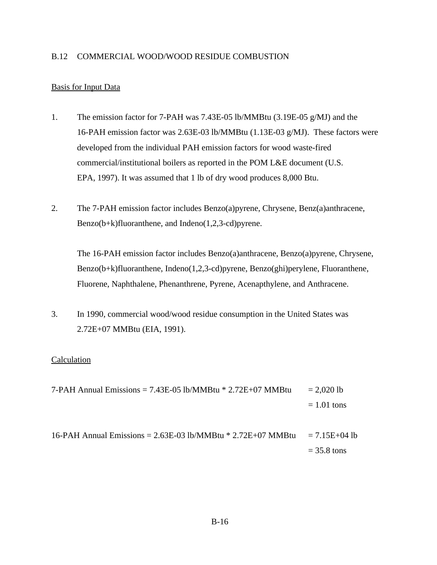## B.12 COMMERCIAL WOOD/WOOD RESIDUE COMBUSTION

## Basis for Input Data

- 1. The emission factor for 7-PAH was 7.43E-05 lb/MMBtu (3.19E-05 g/MJ) and the 16-PAH emission factor was 2.63E-03 lb/MMBtu (1.13E-03 g/MJ). These factors were developed from the individual PAH emission factors for wood waste-fired commercial/institutional boilers as reported in the POM L&E document (U.S. EPA, 1997). It was assumed that 1 lb of dry wood produces 8,000 Btu.
- 2. The 7-PAH emission factor includes Benzo(a)pyrene, Chrysene, Benz(a)anthracene, Benzo(b+k)fluoranthene, and Indeno(1,2,3-cd)pyrene.

The 16-PAH emission factor includes Benzo(a)anthracene, Benzo(a)pyrene, Chrysene, Benzo(b+k)fluoranthene, Indeno(1,2,3-cd)pyrene, Benzo(ghi)perylene, Fluoranthene, Fluorene, Naphthalene, Phenanthrene, Pyrene, Acenapthylene, and Anthracene.

3. In 1990, commercial wood/wood residue consumption in the United States was 2.72E+07 MMBtu (EIA, 1991).

# Calculation

7-PAH Annual Emissions =  $7.43E-05$  lb/MMBtu  $*$  2.72E+07 MMBtu = 2.020 lb  $= 1.01$  tons

16-PAH Annual Emissions =  $2.63E-03$  lb/MMBtu \*  $2.72E+07$  MMBtu =  $7.15E+04$  lb  $= 35.8$  tons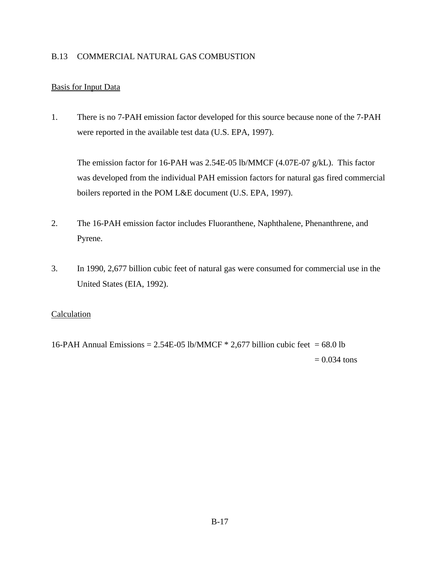## B.13 COMMERCIAL NATURAL GAS COMBUSTION

# Basis for Input Data

1. There is no 7-PAH emission factor developed for this source because none of the 7-PAH were reported in the available test data (U.S. EPA, 1997).

The emission factor for 16-PAH was 2.54E-05 lb/MMCF (4.07E-07 g/kL). This factor was developed from the individual PAH emission factors for natural gas fired commercial boilers reported in the POM L&E document (U.S. EPA, 1997).

- 2. The 16-PAH emission factor includes Fluoranthene, Naphthalene, Phenanthrene, and Pyrene.
- 3. In 1990, 2,677 billion cubic feet of natural gas were consumed for commercial use in the United States (EIA, 1992).

## Calculation

16-PAH Annual Emissions =  $2.54E-05$  lb/MMCF  $*$  2,677 billion cubic feet = 68.0 lb  $= 0.034$  tons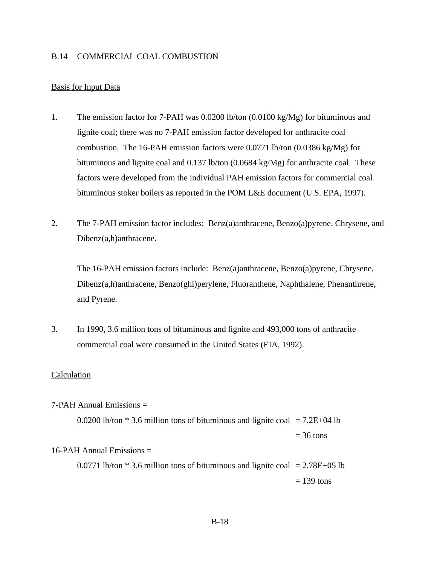#### B.14 COMMERCIAL COAL COMBUSTION

#### Basis for Input Data

- 1. The emission factor for 7-PAH was 0.0200 lb/ton (0.0100 kg/Mg) for bituminous and lignite coal; there was no 7-PAH emission factor developed for anthracite coal combustion. The 16-PAH emission factors were 0.0771 lb/ton (0.0386 kg/Mg) for bituminous and lignite coal and 0.137 lb/ton (0.0684 kg/Mg) for anthracite coal. These factors were developed from the individual PAH emission factors for commercial coal bituminous stoker boilers as reported in the POM L&E document (U.S. EPA, 1997).
- 2. The 7-PAH emission factor includes: Benz(a)anthracene, Benzo(a)pyrene, Chrysene, and Dibenz(a,h)anthracene.

The 16-PAH emission factors include: Benz(a)anthracene, Benzo(a)pyrene, Chrysene, Dibenz(a,h)anthracene, Benzo(ghi)perylene, Fluoranthene, Naphthalene, Phenanthrene, and Pyrene.

3. In 1990, 3.6 million tons of bituminous and lignite and 493,000 tons of anthracite commercial coal were consumed in the United States (EIA, 1992).

#### Calculation

#### $7-PAH$  Annual Emissions  $=$

0.0200 lb/ton  $*$  3.6 million tons of bituminous and lignite coal = 7.2E+04 lb  $= 36$  tons 16-PAH Annual Emissions =

0.0771 lb/ton  $*$  3.6 million tons of bituminous and lignite coal = 2.78E+05 lb  $= 139$  tons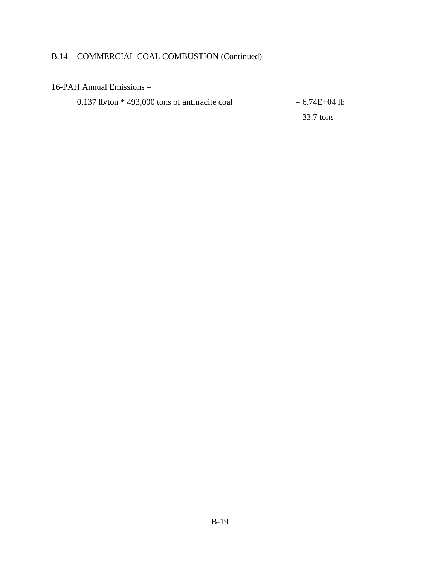# B.14 COMMERCIAL COAL COMBUSTION (Continued)

## 16-PAH Annual Emissions =

0.137 lb/ton  $*$  493,000 tons of anthracite coal  $= 6.74E+04$  lb

 $= 33.7$  tons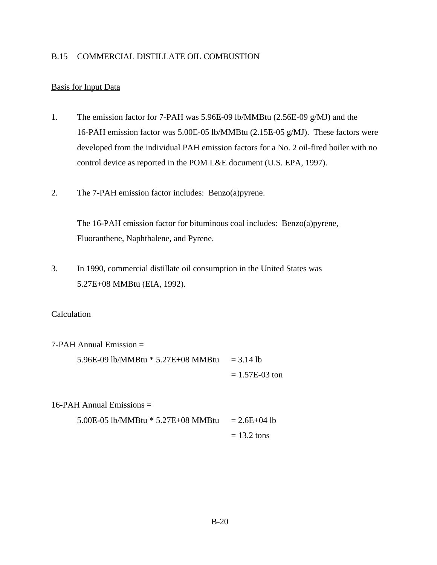### B.15 COMMERCIAL DISTILLATE OIL COMBUSTION

## Basis for Input Data

- 1. The emission factor for 7-PAH was 5.96E-09 lb/MMBtu (2.56E-09 g/MJ) and the 16-PAH emission factor was 5.00E-05 lb/MMBtu (2.15E-05 g/MJ). These factors were developed from the individual PAH emission factors for a No. 2 oil-fired boiler with no control device as reported in the POM L&E document (U.S. EPA, 1997).
- 2. The 7-PAH emission factor includes: Benzo(a)pyrene.

The 16-PAH emission factor for bituminous coal includes: Benzo(a)pyrene, Fluoranthene, Naphthalene, and Pyrene.

3. In 1990, commercial distillate oil consumption in the United States was 5.27E+08 MMBtu (EIA, 1992).

#### Calculation

7-PAH Annual Emission =

5.96E-09 lb/MMBtu  $*$  5.27E+08 MMBtu = 3.14 lb  $= 1.57E-03$  ton

16-PAH Annual Emissions  $=$ 

5.00E-05 lb/MMBtu  $*$  5.27E+08 MMBtu = 2.6E+04 lb  $= 13.2$  tons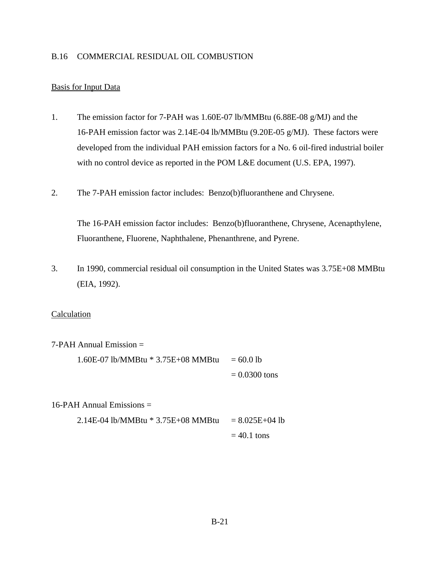#### B.16 COMMERCIAL RESIDUAL OIL COMBUSTION

# Basis for Input Data

- 1. The emission factor for 7-PAH was 1.60E-07 lb/MMBtu (6.88E-08 g/MJ) and the 16-PAH emission factor was 2.14E-04 lb/MMBtu (9.20E-05 g/MJ). These factors were developed from the individual PAH emission factors for a No. 6 oil-fired industrial boiler with no control device as reported in the POM L&E document (U.S. EPA, 1997).
- 2. The 7-PAH emission factor includes: Benzo(b)fluoranthene and Chrysene.

The 16-PAH emission factor includes: Benzo(b)fluoranthene, Chrysene, Acenapthylene, Fluoranthene, Fluorene, Naphthalene, Phenanthrene, and Pyrene.

3. In 1990, commercial residual oil consumption in the United States was 3.75E+08 MMBtu (EIA, 1992).

#### Calculation

7-PAH Annual Emission =

1.60E-07 lb/MMBtu  $*$  3.75E+08 MMBtu = 60.0 lb  $= 0.0300$  tons

#### 16-PAH Annual Emissions  $=$

2.14E-04 lb/MMBtu \* 3.75E+08 MMBtu = 
$$
8.025E+04
$$
 lb  
= 40.1 tons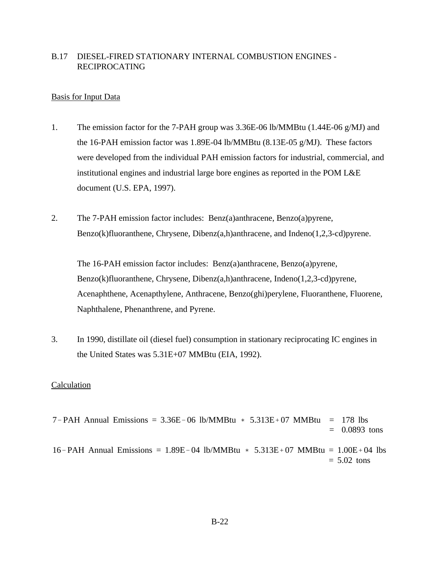# B.17 DIESEL-FIRED STATIONARY INTERNAL COMBUSTION ENGINES - RECIPROCATING

### Basis for Input Data

- 1. The emission factor for the 7-PAH group was 3.36E-06 lb/MMBtu (1.44E-06 g/MJ) and the 16-PAH emission factor was 1.89E-04 lb/MMBtu (8.13E-05 g/MJ). These factors were developed from the individual PAH emission factors for industrial, commercial, and institutional engines and industrial large bore engines as reported in the POM L&E document (U.S. EPA, 1997).
- 2. The 7-PAH emission factor includes: Benz(a)anthracene, Benzo(a)pyrene, Benzo(k)fluoranthene, Chrysene, Dibenz(a,h)anthracene, and Indeno(1,2,3-cd)pyrene.

The 16-PAH emission factor includes: Benz(a)anthracene, Benzo(a)pyrene, Benzo(k)fluoranthene, Chrysene, Dibenz(a,h)anthracene, Indeno(1,2,3-cd)pyrene, Acenaphthene, Acenapthylene, Anthracene, Benzo(ghi)perylene, Fluoranthene, Fluorene, Naphthalene, Phenanthrene, and Pyrene.

3. In 1990, distillate oil (diesel fuel) consumption in stationary reciprocating IC engines in the United States was 5.31E+07 MMBtu (EIA, 1992).

```
7-PAH Annual Emissions = 3.36E-06 lb/MMBtu * 5.313E+07 MMBtu = 178 lbs
                                                               = 0.0893 tons
16-PAH Annual Emissions = 1.89E-04 lb/MMBtu * 5.313E+07 MMBtu = 1.00E+04 lbs
                                                               = 5.02 tons
```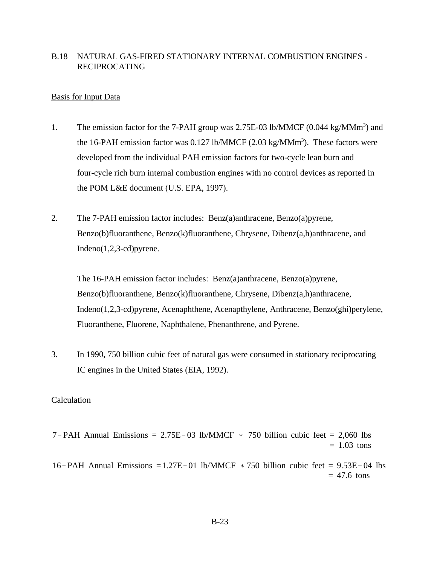## B.18 NATURAL GAS-FIRED STATIONARY INTERNAL COMBUSTION ENGINES - RECIPROCATING

#### Basis for Input Data

- 1. The emission factor for the 7-PAH group was 2.75E-03 lb/MMCF (0.044 kg/MMm<sup>3</sup>) and the 16-PAH emission factor was  $0.127$  lb/MMCF (2.03 kg/MMm<sup>3</sup>). These factors were developed from the individual PAH emission factors for two-cycle lean burn and four-cycle rich burn internal combustion engines with no control devices as reported in the POM L&E document (U.S. EPA, 1997).
- 2. The 7-PAH emission factor includes: Benz(a)anthracene, Benzo(a)pyrene, Benzo(b)fluoranthene, Benzo(k)fluoranthene, Chrysene, Dibenz(a,h)anthracene, and Indeno(1,2,3-cd)pyrene.

The 16-PAH emission factor includes: Benz(a)anthracene, Benzo(a)pyrene, Benzo(b)fluoranthene, Benzo(k)fluoranthene, Chrysene, Dibenz(a,h)anthracene, Indeno(1,2,3-cd)pyrene, Acenaphthene, Acenapthylene, Anthracene, Benzo(ghi)perylene, Fluoranthene, Fluorene, Naphthalene, Phenanthrene, and Pyrene.

3. In 1990, 750 billion cubic feet of natural gas were consumed in stationary reciprocating IC engines in the United States (EIA, 1992).

- 7-PAH Annual Emissions =  $2.75E-03$  lb/MMCF  $*$  750 billion cubic feet = 2,060 lbs  $= 1.03$  tons
- 16-PAH Annual Emissions  $=1.27E-01$  lb/MMCF  $*750$  billion cubic feet  $= 9.53E+04$  lbs  $= 47.6$  tons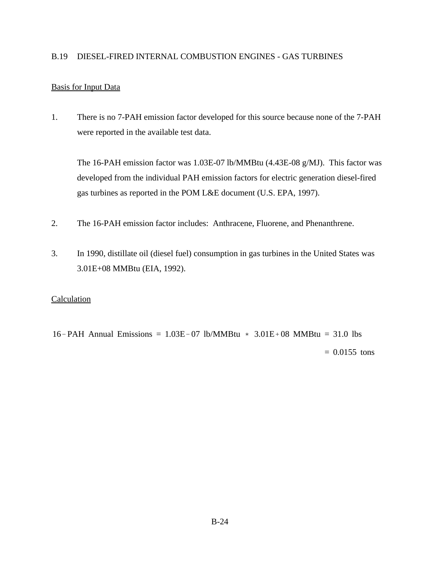## B.19 DIESEL-FIRED INTERNAL COMBUSTION ENGINES - GAS TURBINES

## Basis for Input Data

1. There is no 7-PAH emission factor developed for this source because none of the 7-PAH were reported in the available test data.

The 16-PAH emission factor was 1.03E-07 lb/MMBtu (4.43E-08 g/MJ). This factor was developed from the individual PAH emission factors for electric generation diesel-fired gas turbines as reported in the POM L&E document (U.S. EPA, 1997).

- 2. The 16-PAH emission factor includes: Anthracene, Fluorene, and Phenanthrene.
- 3. In 1990, distillate oil (diesel fuel) consumption in gas turbines in the United States was 3.01E+08 MMBtu (EIA, 1992).

## **Calculation**

16-PAH Annual Emissions =  $1.03E-07$  lb/MMBtu  $*$  3.01E+08 MMBtu = 31.0 lbs  $= 0.0155$  tons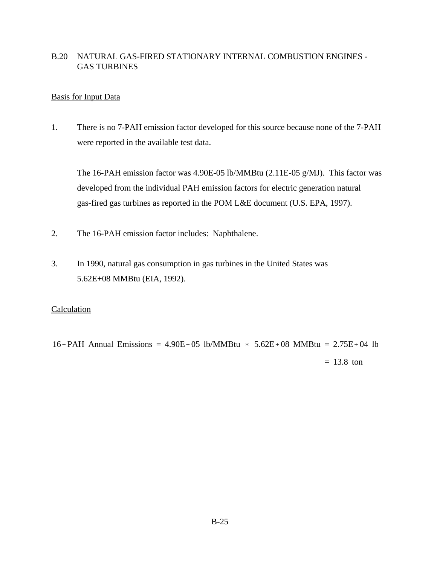# B.20 NATURAL GAS-FIRED STATIONARY INTERNAL COMBUSTION ENGINES - GAS TURBINES

## Basis for Input Data

1. There is no 7-PAH emission factor developed for this source because none of the 7-PAH were reported in the available test data.

The 16-PAH emission factor was 4.90E-05 lb/MMBtu (2.11E-05 g/MJ). This factor was developed from the individual PAH emission factors for electric generation natural gas-fired gas turbines as reported in the POM L&E document (U.S. EPA, 1997).

- 2. The 16-PAH emission factor includes: Naphthalene.
- 3. In 1990, natural gas consumption in gas turbines in the United States was 5.62E+08 MMBtu (EIA, 1992).

## **Calculation**

16-PAH Annual Emissions =  $4.90E-05$  lb/MMBtu  $*$  5.62E + 08 MMBtu = 2.75E + 04 lb  $= 13.8$  ton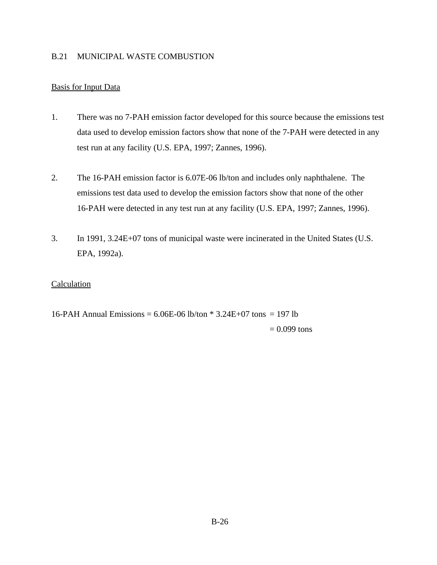## B.21 MUNICIPAL WASTE COMBUSTION

# Basis for Input Data

- 1. There was no 7-PAH emission factor developed for this source because the emissions test data used to develop emission factors show that none of the 7-PAH were detected in any test run at any facility (U.S. EPA, 1997; Zannes, 1996).
- 2. The 16-PAH emission factor is 6.07E-06 lb/ton and includes only naphthalene. The emissions test data used to develop the emission factors show that none of the other 16-PAH were detected in any test run at any facility (U.S. EPA, 1997; Zannes, 1996).
- 3. In 1991, 3.24E+07 tons of municipal waste were incinerated in the United States (U.S. EPA, 1992a).

## **Calculation**

16-PAH Annual Emissions =  $6.06E$ -06 lb/ton  $*$  3.24E+07 tons = 197 lb  $= 0.099$  tons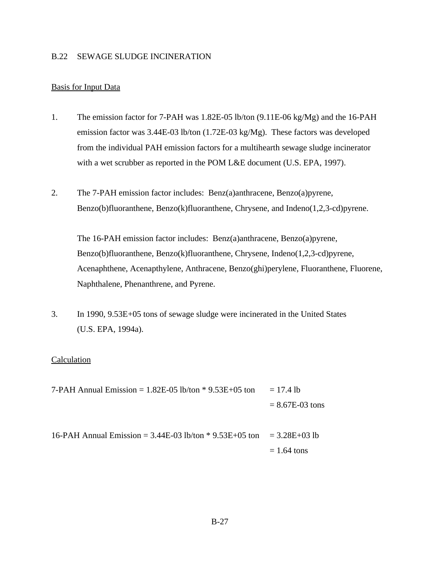## B.22 SEWAGE SLUDGE INCINERATION

### Basis for Input Data

- 1. The emission factor for 7-PAH was 1.82E-05 lb/ton (9.11E-06 kg/Mg) and the 16-PAH emission factor was 3.44E-03 lb/ton (1.72E-03 kg/Mg). These factors was developed from the individual PAH emission factors for a multihearth sewage sludge incinerator with a wet scrubber as reported in the POM L&E document (U.S. EPA, 1997).
- 2. The 7-PAH emission factor includes: Benz(a)anthracene, Benzo(a)pyrene, Benzo(b)fluoranthene, Benzo(k)fluoranthene, Chrysene, and Indeno(1,2,3-cd)pyrene.

The 16-PAH emission factor includes: Benz(a)anthracene, Benzo(a)pyrene, Benzo(b)fluoranthene, Benzo(k)fluoranthene, Chrysene, Indeno(1,2,3-cd)pyrene, Acenaphthene, Acenapthylene, Anthracene, Benzo(ghi)perylene, Fluoranthene, Fluorene, Naphthalene, Phenanthrene, and Pyrene.

3. In 1990, 9.53E+05 tons of sewage sludge were incinerated in the United States (U.S. EPA, 1994a).

| 7-PAH Annual Emission = $1.82E-05$ lb/ton $*$ 9.53E+05 ton                  | $= 17.4$ lb       |
|-----------------------------------------------------------------------------|-------------------|
|                                                                             | $= 8.67E-03$ tons |
| 16-PAH Annual Emission = $3.44E-03$ lb/ton $*$ 9.53E+05 ton = $3.28E+03$ lb |                   |
|                                                                             | $= 1.64$ tons     |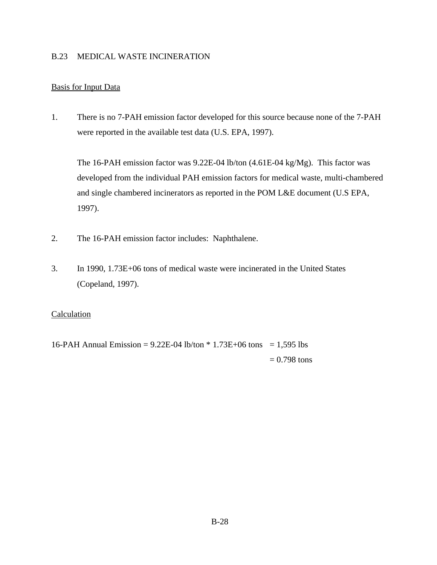## B.23 MEDICAL WASTE INCINERATION

# Basis for Input Data

1. There is no 7-PAH emission factor developed for this source because none of the 7-PAH were reported in the available test data (U.S. EPA, 1997).

The 16-PAH emission factor was 9.22E-04 lb/ton (4.61E-04 kg/Mg). This factor was developed from the individual PAH emission factors for medical waste, multi-chambered and single chambered incinerators as reported in the POM L&E document (U.S EPA, 1997).

- 2. The 16-PAH emission factor includes: Naphthalene.
- 3. In 1990, 1.73E+06 tons of medical waste were incinerated in the United States (Copeland, 1997).

## Calculation

16-PAH Annual Emission =  $9.22E-04$  lb/ton  $* 1.73E+06$  tons = 1,595 lbs  $= 0.798$  tons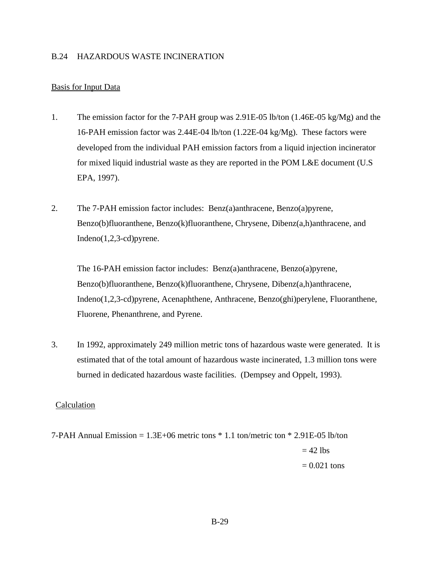## B.24 HAZARDOUS WASTE INCINERATION

### Basis for Input Data

- 1. The emission factor for the 7-PAH group was 2.91E-05 lb/ton (1.46E-05 kg/Mg) and the 16-PAH emission factor was 2.44E-04 lb/ton (1.22E-04 kg/Mg). These factors were developed from the individual PAH emission factors from a liquid injection incinerator for mixed liquid industrial waste as they are reported in the POM L&E document (U.S EPA, 1997).
- 2. The 7-PAH emission factor includes: Benz(a)anthracene, Benzo(a)pyrene, Benzo(b)fluoranthene, Benzo(k)fluoranthene, Chrysene, Dibenz(a,h)anthracene, and Indeno(1,2,3-cd)pyrene.

The 16-PAH emission factor includes: Benz(a)anthracene, Benzo(a)pyrene, Benzo(b)fluoranthene, Benzo(k)fluoranthene, Chrysene, Dibenz(a,h)anthracene, Indeno(1,2,3-cd)pyrene, Acenaphthene, Anthracene, Benzo(ghi)perylene, Fluoranthene, Fluorene, Phenanthrene, and Pyrene.

3. In 1992, approximately 249 million metric tons of hazardous waste were generated. It is estimated that of the total amount of hazardous waste incinerated, 1.3 million tons were burned in dedicated hazardous waste facilities. (Dempsey and Oppelt, 1993).

#### Calculation

7-PAH Annual Emission = 1.3E+06 metric tons \* 1.1 ton/metric ton \* 2.91E-05 lb/ton  $= 42$  lbs  $= 0.021$  tons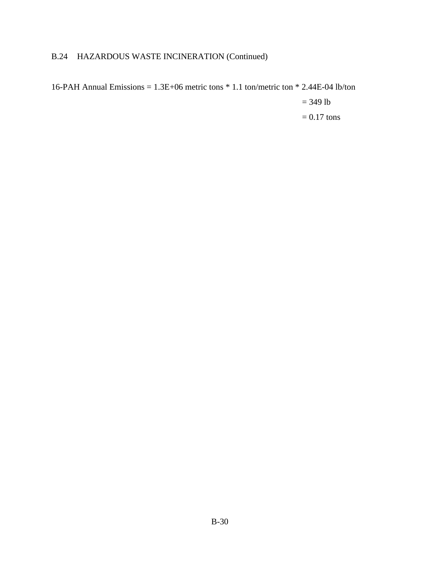# B.24 HAZARDOUS WASTE INCINERATION (Continued)

16-PAH Annual Emissions = 1.3E+06 metric tons \* 1.1 ton/metric ton \* 2.44E-04 lb/ton  $= 349$  lb  $= 0.17$  tons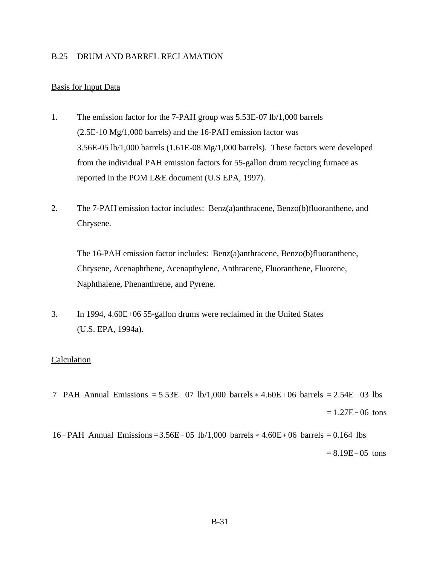#### B.25 DRUM AND BARREL RECLAMATION

#### Basis for Input Data

- 1. The emission factor for the 7-PAH group was 5.53E-07 lb/1,000 barrels (2.5E-10 Mg/1,000 barrels) and the 16-PAH emission factor was 3.56E-05 lb/1,000 barrels (1.61E-08 Mg/1,000 barrels). These factors were developed from the individual PAH emission factors for 55-gallon drum recycling furnace as reported in the POM L&E document (U.S EPA, 1997).
- 2. The 7-PAH emission factor includes: Benz(a)anthracene, Benzo(b)fluoranthene, and Chrysene.

The 16-PAH emission factor includes: Benz(a)anthracene, Benzo(b)fluoranthene, Chrysene, Acenaphthene, Acenapthylene, Anthracene, Fluoranthene, Fluorene, Naphthalene, Phenanthrene, and Pyrene.

3. In 1994, 4.60E+06 55-gallon drums were reclaimed in the United States (U.S. EPA, 1994a).

#### Calculation

7-PAH Annual Emissions =  $5.53E-07$  lb/1,000 barrels  $*$  4.60E + 06 barrels = 2.54E - 03 lbs  $= 1.27E - 06$  tons

16-PAH Annual Emissions= $3.56E-05$  lb/1,000 barrels  $*$  4.60E + 06 barrels = 0.164 lbs  $= 8.19E - 05$  tons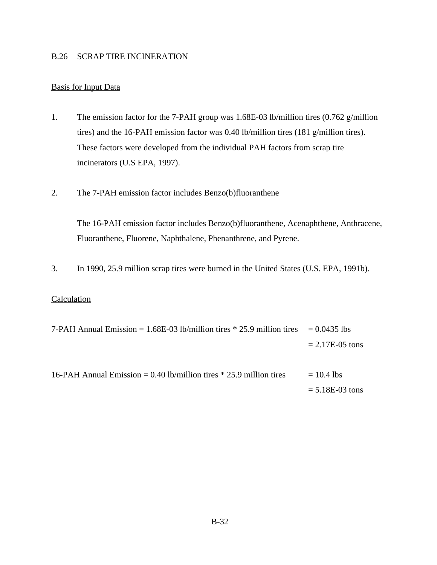## B.26 SCRAP TIRE INCINERATION

# Basis for Input Data

- 1. The emission factor for the 7-PAH group was 1.68E-03 lb/million tires (0.762 g/million tires) and the 16-PAH emission factor was 0.40 lb/million tires (181 g/million tires). These factors were developed from the individual PAH factors from scrap tire incinerators (U.S EPA, 1997).
- 2. The 7-PAH emission factor includes Benzo(b)fluoranthene

The 16-PAH emission factor includes Benzo(b)fluoranthene, Acenaphthene, Anthracene, Fluoranthene, Fluorene, Naphthalene, Phenanthrene, and Pyrene.

3. In 1990, 25.9 million scrap tires were burned in the United States (U.S. EPA, 1991b).

| 7-PAH Annual Emission = $1.68E-03$ lb/million tires $*$ 25.9 million tires = 0.0435 lbs |                      |
|-----------------------------------------------------------------------------------------|----------------------|
|                                                                                         | $= 2.17E - 0.5$ tons |
| 16-PAH Annual Emission = 0.40 lb/million tires $*$ 25.9 million tires                   | $= 10.4$ lbs         |
|                                                                                         | $= 5.18E-03$ tons    |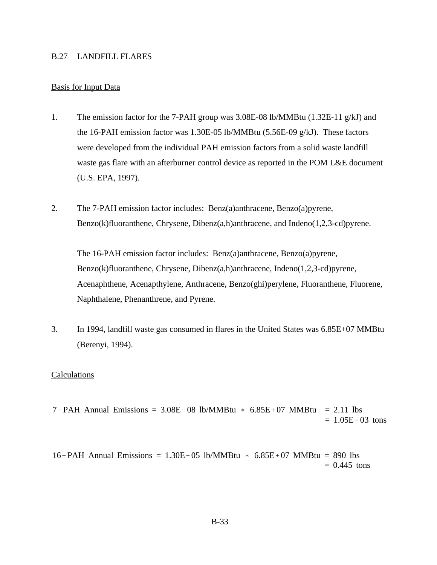#### B.27 LANDFILL FLARES

#### Basis for Input Data

- 1. The emission factor for the 7-PAH group was 3.08E-08 lb/MMBtu (1.32E-11 g/kJ) and the 16-PAH emission factor was 1.30E-05 lb/MMBtu (5.56E-09 g/kJ). These factors were developed from the individual PAH emission factors from a solid waste landfill waste gas flare with an afterburner control device as reported in the POM L&E document (U.S. EPA, 1997).
- 2. The 7-PAH emission factor includes: Benz(a)anthracene, Benzo(a)pyrene, Benzo(k)fluoranthene, Chrysene, Dibenz(a,h)anthracene, and Indeno(1,2,3-cd)pyrene.

The 16-PAH emission factor includes: Benz(a)anthracene, Benzo(a)pyrene, Benzo(k)fluoranthene, Chrysene, Dibenz(a,h)anthracene, Indeno(1,2,3-cd)pyrene, Acenaphthene, Acenapthylene, Anthracene, Benzo(ghi)perylene, Fluoranthene, Fluorene, Naphthalene, Phenanthrene, and Pyrene.

3. In 1994, landfill waste gas consumed in flares in the United States was 6.85E+07 MMBtu (Berenyi, 1994).

#### **Calculations**

 $7-PAH$  Annual Emissions = 3.08E-08 lb/MMBtu  $*$  6.85E+07 MMBtu = 2.11 lbs  $= 1.05E - 03$  tons

16-PAH Annual Emissions =  $1.30E-05$  lb/MMBtu  $*$  6.85E + 07 MMBtu = 890 lbs  $= 0.445$  tons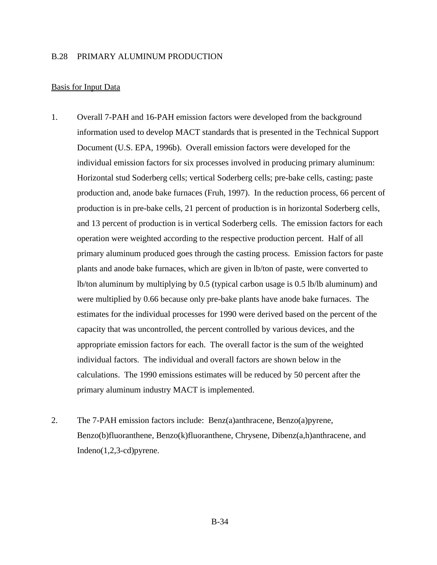#### B.28 PRIMARY ALUMINUM PRODUCTION

#### Basis for Input Data

- 1. Overall 7-PAH and 16-PAH emission factors were developed from the background information used to develop MACT standards that is presented in the Technical Support Document (U.S. EPA, 1996b). Overall emission factors were developed for the individual emission factors for six processes involved in producing primary aluminum: Horizontal stud Soderberg cells; vertical Soderberg cells; pre-bake cells, casting; paste production and, anode bake furnaces (Fruh, 1997). In the reduction process, 66 percent of production is in pre-bake cells, 21 percent of production is in horizontal Soderberg cells, and 13 percent of production is in vertical Soderberg cells. The emission factors for each operation were weighted according to the respective production percent. Half of all primary aluminum produced goes through the casting process. Emission factors for paste plants and anode bake furnaces, which are given in lb/ton of paste, were converted to lb/ton aluminum by multiplying by 0.5 (typical carbon usage is 0.5 lb/lb aluminum) and were multiplied by 0.66 because only pre-bake plants have anode bake furnaces. The estimates for the individual processes for 1990 were derived based on the percent of the capacity that was uncontrolled, the percent controlled by various devices, and the appropriate emission factors for each. The overall factor is the sum of the weighted individual factors. The individual and overall factors are shown below in the calculations. The 1990 emissions estimates will be reduced by 50 percent after the primary aluminum industry MACT is implemented.
- 2. The 7-PAH emission factors include: Benz(a)anthracene, Benzo(a)pyrene, Benzo(b)fluoranthene, Benzo(k)fluoranthene, Chrysene, Dibenz(a,h)anthracene, and Indeno(1,2,3-cd)pyrene.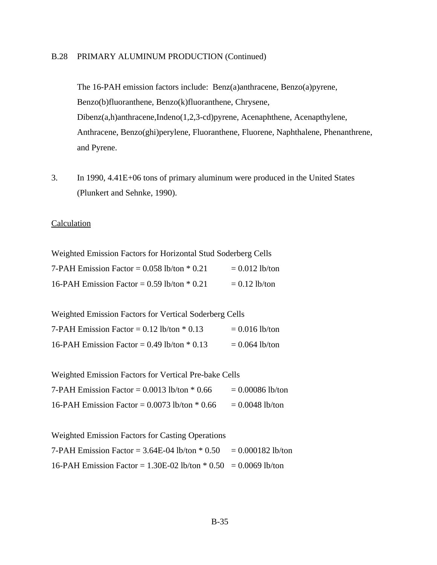## B.28 PRIMARY ALUMINUM PRODUCTION (Continued)

The 16-PAH emission factors include: Benz(a)anthracene, Benzo(a)pyrene, Benzo(b)fluoranthene, Benzo(k)fluoranthene, Chrysene, Dibenz(a,h)anthracene,Indeno(1,2,3-cd)pyrene, Acenaphthene, Acenapthylene, Anthracene, Benzo(ghi)perylene, Fluoranthene, Fluorene, Naphthalene, Phenanthrene, and Pyrene.

3. In 1990, 4.41E+06 tons of primary aluminum were produced in the United States (Plunkert and Sehnke, 1990).

### **Calculation**

| Weighted Emission Factors for Horizontal Stud Soderberg Cells |                  |
|---------------------------------------------------------------|------------------|
| 7-PAH Emission Factor = $0.058$ lb/ton $*$ 0.21               | $= 0.012$ lb/ton |
| 16-PAH Emission Factor = $0.59$ lb/ton $*$ 0.21               | $= 0.12$ lb/ton  |

Weighted Emission Factors for Vertical Soderberg Cells

| 7-PAH Emission Factor = $0.12$ lb/ton $*$ 0.13  | $= 0.016$ lb/ton |
|-------------------------------------------------|------------------|
| 16-PAH Emission Factor = $0.49$ lb/ton $*$ 0.13 | $= 0.064$ lb/ton |

Weighted Emission Factors for Vertical Pre-bake Cells

| 7-PAH Emission Factor = $0.0013$ lb/ton $*$ 0.66  | $= 0.00086$ lb/ton |
|---------------------------------------------------|--------------------|
| 16-PAH Emission Factor = $0.0073$ lb/ton $*$ 0.66 | $= 0.0048$ lb/ton  |

| <b>Weighted Emission Factors for Casting Operations</b>              |  |
|----------------------------------------------------------------------|--|
| 7-PAH Emission Factor = $3.64E-04$ lb/ton $* 0.50 = 0.000182$ lb/ton |  |
| 16-PAH Emission Factor = $1.30E-02$ lb/ton $*$ 0.50 = 0.0069 lb/ton  |  |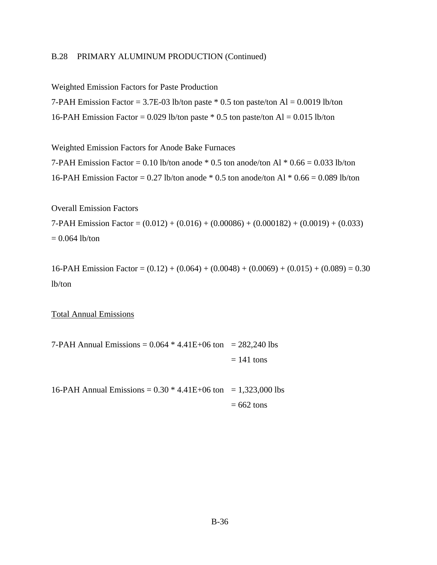## B.28 PRIMARY ALUMINUM PRODUCTION (Continued)

Weighted Emission Factors for Paste Production

7-PAH Emission Factor = 3.7E-03 lb/ton paste  $*$  0.5 ton paste/ton Al = 0.0019 lb/ton 16-PAH Emission Factor = 0.029 lb/ton paste  $*$  0.5 ton paste/ton Al = 0.015 lb/ton

Weighted Emission Factors for Anode Bake Furnaces

7-PAH Emission Factor = 0.10 lb/ton anode  $*$  0.5 ton anode/ton Al  $*$  0.66 = 0.033 lb/ton 16-PAH Emission Factor =  $0.27$  lb/ton anode  $*$  0.5 ton anode/ton Al  $*$  0.66 = 0.089 lb/ton

Overall Emission Factors 7-PAH Emission Factor =  $(0.012) + (0.016) + (0.00086) + (0.000182) + (0.0019) + (0.033)$  $= 0.064$  lb/ton

16-PAH Emission Factor =  $(0.12) + (0.064) + (0.0048) + (0.0069) + (0.015) + (0.089) = 0.30$ lb/ton

Total Annual Emissions

7-PAH Annual Emissions =  $0.064 * 4.41E + 06$  ton = 282,240 lbs  $= 141$  tons

16-PAH Annual Emissions =  $0.30 * 4.41E+06$  ton = 1,323,000 lbs  $= 662$  tons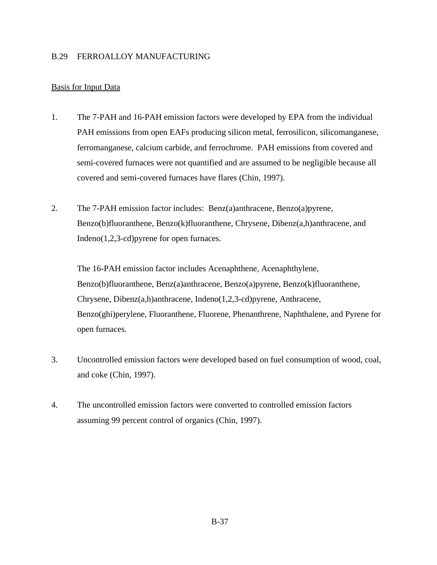## B.29 FERROALLOY MANUFACTURING

## Basis for Input Data

- 1. The 7-PAH and 16-PAH emission factors were developed by EPA from the individual PAH emissions from open EAFs producing silicon metal, ferrosilicon, silicomanganese, ferromanganese, calcium carbide, and ferrochrome. PAH emissions from covered and semi-covered furnaces were not quantified and are assumed to be negligible because all covered and semi-covered furnaces have flares (Chin, 1997).
- 2. The 7-PAH emission factor includes: Benz(a)anthracene, Benzo(a)pyrene, Benzo(b)fluoranthene, Benzo(k)fluoranthene, Chrysene, Dibenz(a,h)anthracene, and Indeno(1,2,3-cd)pyrene for open furnaces.

The 16-PAH emission factor includes Acenaphthene, Acenaphthylene, Benzo(b)fluoranthene, Benz(a)anthracene, Benzo(a)pyrene, Benzo(k)fluoranthene, Chrysene, Dibenz(a,h)anthracene, Indeno(1,2,3-cd)pyrene, Anthracene, Benzo(ghi)perylene, Fluoranthene, Fluorene, Phenanthrene, Naphthalene, and Pyrene for open furnaces.

- 3. Uncontrolled emission factors were developed based on fuel consumption of wood, coal, and coke (Chin, 1997).
- 4. The uncontrolled emission factors were converted to controlled emission factors assuming 99 percent control of organics (Chin, 1997).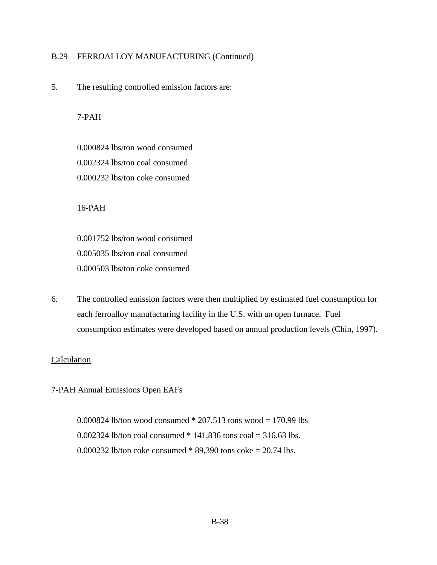## B.29 FERROALLOY MANUFACTURING (Continued)

5. The resulting controlled emission factors are:

## 7-PAH

0.000824 lbs/ton wood consumed 0.002324 lbs/ton coal consumed 0.000232 lbs/ton coke consumed

#### 16-PAH

0.001752 lbs/ton wood consumed 0.005035 lbs/ton coal consumed 0.000503 lbs/ton coke consumed

6. The controlled emission factors were then multiplied by estimated fuel consumption for each ferroalloy manufacturing facility in the U.S. with an open furnace. Fuel consumption estimates were developed based on annual production levels (Chin, 1997).

#### Calculation

7-PAH Annual Emissions Open EAFs

0.000824 lb/ton wood consumed  $*$  207,513 tons wood = 170.99 lbs 0.002324 lb/ton coal consumed \* 141,836 tons coal = 316.63 lbs. 0.000232 lb/ton coke consumed \* 89,390 tons coke = 20.74 lbs.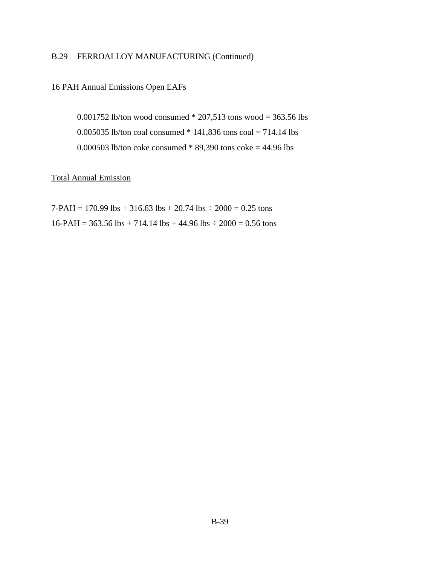# B.29 FERROALLOY MANUFACTURING (Continued)

### 16 PAH Annual Emissions Open EAFs

0.001752 lb/ton wood consumed  $*$  207,513 tons wood = 363.56 lbs 0.005035 lb/ton coal consumed \* 141,836 tons coal = 714.14 lbs 0.000503 lb/ton coke consumed \* 89,390 tons coke = 44.96 lbs

## Total Annual Emission

7-PAH = 170.99 lbs + 316.63 lbs + 20.74 lbs  $\div$  2000 = 0.25 tons  $16-PAH = 363.56$  lbs + 714.14 lbs + 44.96 lbs  $\div$  2000 = 0.56 tons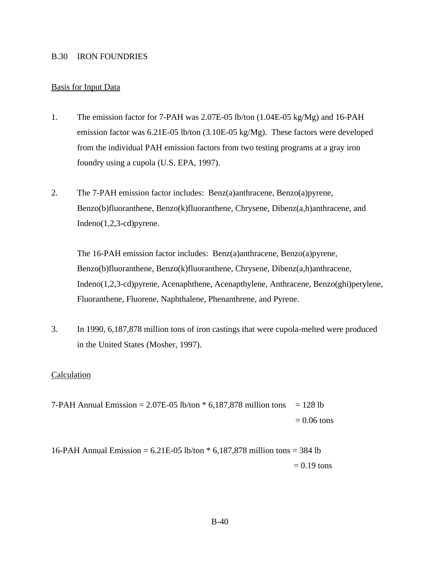#### B.30 IRON FOUNDRIES

### Basis for Input Data

- 1. The emission factor for 7-PAH was 2.07E-05 lb/ton (1.04E-05 kg/Mg) and 16-PAH emission factor was 6.21E-05 lb/ton (3.10E-05 kg/Mg). These factors were developed from the individual PAH emission factors from two testing programs at a gray iron foundry using a cupola (U.S. EPA, 1997).
- 2. The 7-PAH emission factor includes: Benz(a)anthracene, Benzo(a)pyrene, Benzo(b)fluoranthene, Benzo(k)fluoranthene, Chrysene, Dibenz(a,h)anthracene, and Indeno(1,2,3-cd)pyrene.

The 16-PAH emission factor includes: Benz(a)anthracene, Benzo(a)pyrene, Benzo(b)fluoranthene, Benzo(k)fluoranthene, Chrysene, Dibenz(a,h)anthracene, Indeno(1,2,3-cd)pyrene, Acenaphthene, Acenapthylene, Anthracene, Benzo(ghi)perylene, Fluoranthene, Fluorene, Naphthalene, Phenanthrene, and Pyrene.

3. In 1990, 6,187,878 million tons of iron castings that were cupola-melted were produced in the United States (Mosher, 1997).

#### Calculation

7-PAH Annual Emission =  $2.07E-05$  lb/ton  $*$  6,187,878 million tons = 128 lb  $= 0.06$  tons

16-PAH Annual Emission = 6.21E-05 lb/ton \* 6,187,878 million tons = 384 lb  $= 0.19$  tons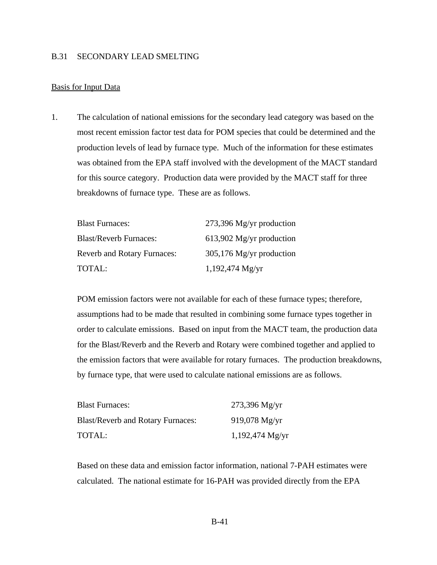#### B.31 SECONDARY LEAD SMELTING

#### Basis for Input Data

1. The calculation of national emissions for the secondary lead category was based on the most recent emission factor test data for POM species that could be determined and the production levels of lead by furnace type. Much of the information for these estimates was obtained from the EPA staff involved with the development of the MACT standard for this source category. Production data were provided by the MACT staff for three breakdowns of furnace type. These are as follows.

| <b>Blast Furnaces:</b>             | $273,396$ Mg/yr production |
|------------------------------------|----------------------------|
| <b>Blast/Reverb Furnaces:</b>      | $613,902$ Mg/yr production |
| <b>Reverb and Rotary Furnaces:</b> | $305,176$ Mg/yr production |
| TOTAL:                             | $1,192,474$ Mg/yr          |

POM emission factors were not available for each of these furnace types; therefore, assumptions had to be made that resulted in combining some furnace types together in order to calculate emissions. Based on input from the MACT team, the production data for the Blast/Reverb and the Reverb and Rotary were combined together and applied to the emission factors that were available for rotary furnaces. The production breakdowns, by furnace type, that were used to calculate national emissions are as follows.

| <b>Blast Furnaces:</b>                   | $273,396$ Mg/yr   |
|------------------------------------------|-------------------|
| <b>Blast/Reverb and Rotary Furnaces:</b> | $919,078$ Mg/yr   |
| TOTAL:                                   | $1,192,474$ Mg/yr |

Based on these data and emission factor information, national 7-PAH estimates were calculated. The national estimate for 16-PAH was provided directly from the EPA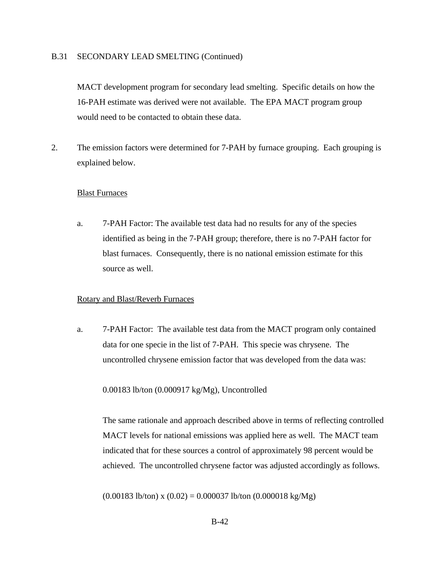#### B.31 SECONDARY LEAD SMELTING (Continued)

MACT development program for secondary lead smelting. Specific details on how the 16-PAH estimate was derived were not available. The EPA MACT program group would need to be contacted to obtain these data.

2. The emission factors were determined for 7-PAH by furnace grouping. Each grouping is explained below.

#### Blast Furnaces

a. 7-PAH Factor: The available test data had no results for any of the species identified as being in the 7-PAH group; therefore, there is no 7-PAH factor for blast furnaces. Consequently, there is no national emission estimate for this source as well.

#### Rotary and Blast/Reverb Furnaces

a. 7-PAH Factor: The available test data from the MACT program only contained data for one specie in the list of 7-PAH. This specie was chrysene. The uncontrolled chrysene emission factor that was developed from the data was:

#### 0.00183 lb/ton (0.000917 kg/Mg), Uncontrolled

The same rationale and approach described above in terms of reflecting controlled MACT levels for national emissions was applied here as well. The MACT team indicated that for these sources a control of approximately 98 percent would be achieved. The uncontrolled chrysene factor was adjusted accordingly as follows.

 $(0.00183 \text{ lb/ton}) \times (0.02) = 0.000037 \text{ lb/ton} (0.000018 \text{ kg/Mg})$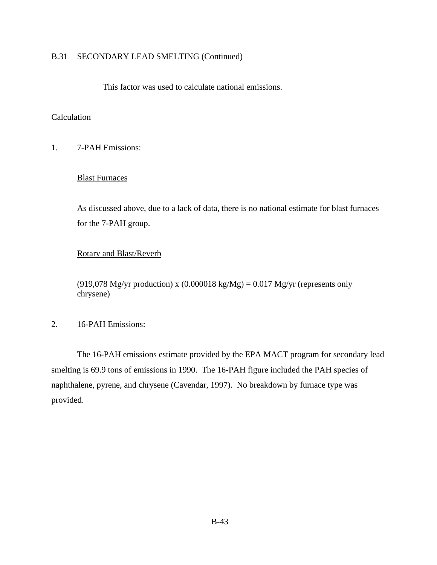## B.31 SECONDARY LEAD SMELTING (Continued)

This factor was used to calculate national emissions.

## **Calculation**

1. 7-PAH Emissions:

## Blast Furnaces

As discussed above, due to a lack of data, there is no national estimate for blast furnaces for the 7-PAH group.

## Rotary and Blast/Reverb

(919,078 Mg/yr production) x (0.000018 kg/Mg) = 0.017 Mg/yr (represents only chrysene)

## 2. 16-PAH Emissions:

The 16-PAH emissions estimate provided by the EPA MACT program for secondary lead smelting is 69.9 tons of emissions in 1990. The 16-PAH figure included the PAH species of naphthalene, pyrene, and chrysene (Cavendar, 1997). No breakdown by furnace type was provided.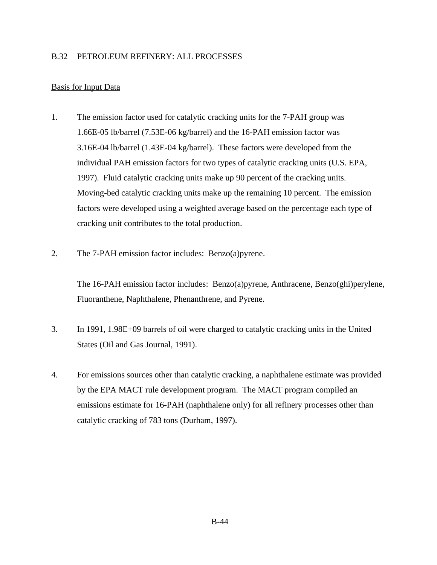## B.32 PETROLEUM REFINERY: ALL PROCESSES

## Basis for Input Data

- 1. The emission factor used for catalytic cracking units for the 7-PAH group was 1.66E-05 lb/barrel (7.53E-06 kg/barrel) and the 16-PAH emission factor was 3.16E-04 lb/barrel (1.43E-04 kg/barrel). These factors were developed from the individual PAH emission factors for two types of catalytic cracking units (U.S. EPA, 1997). Fluid catalytic cracking units make up 90 percent of the cracking units. Moving-bed catalytic cracking units make up the remaining 10 percent. The emission factors were developed using a weighted average based on the percentage each type of cracking unit contributes to the total production.
- 2. The 7-PAH emission factor includes: Benzo(a)pyrene.

The 16-PAH emission factor includes: Benzo(a)pyrene, Anthracene, Benzo(ghi)perylene, Fluoranthene, Naphthalene, Phenanthrene, and Pyrene.

- 3. In 1991, 1.98E+09 barrels of oil were charged to catalytic cracking units in the United States (Oil and Gas Journal, 1991).
- 4. For emissions sources other than catalytic cracking, a naphthalene estimate was provided by the EPA MACT rule development program. The MACT program compiled an emissions estimate for 16-PAH (naphthalene only) for all refinery processes other than catalytic cracking of 783 tons (Durham, 1997).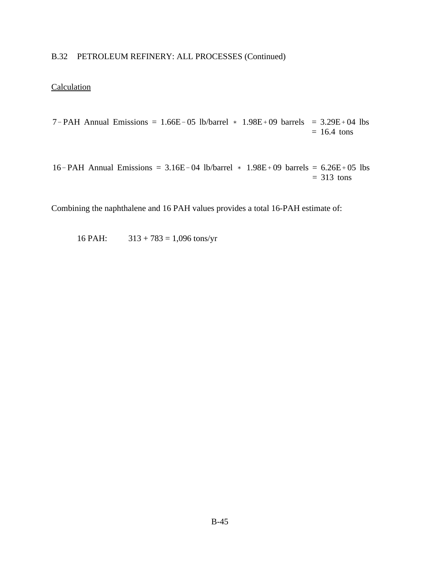# B.32 PETROLEUM REFINERY: ALL PROCESSES (Continued)

# **Calculation**

7-PAH Annual Emissions =  $1.66E-05$  lb/barrel  $*$  1.98E + 09 barrels = 3.29E + 04 lbs  $= 16.4$  tons

16-PAH Annual Emissions =  $3.16E-04$  lb/barrel  $*$  1.98E + 09 barrels = 6.26E + 05 lbs  $= 313$  tons

Combining the naphthalene and 16 PAH values provides a total 16-PAH estimate of:

16 PAH:  $313 + 783 = 1,096$  tons/yr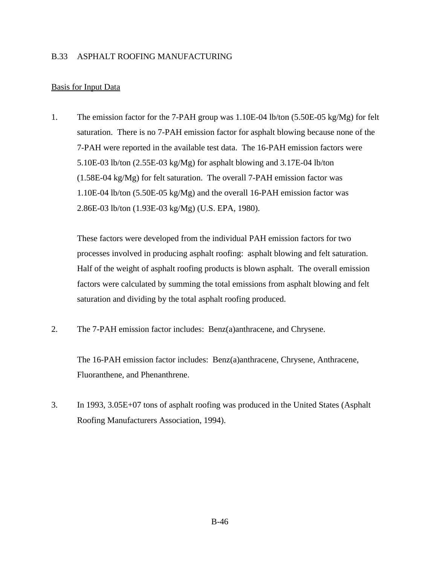## B.33 ASPHALT ROOFING MANUFACTURING

## Basis for Input Data

1. The emission factor for the 7-PAH group was 1.10E-04 lb/ton (5.50E-05 kg/Mg) for felt saturation. There is no 7-PAH emission factor for asphalt blowing because none of the 7-PAH were reported in the available test data. The 16-PAH emission factors were 5.10E-03 lb/ton (2.55E-03 kg/Mg) for asphalt blowing and 3.17E-04 lb/ton (1.58E-04 kg/Mg) for felt saturation. The overall 7-PAH emission factor was 1.10E-04 lb/ton (5.50E-05 kg/Mg) and the overall 16-PAH emission factor was 2.86E-03 lb/ton (1.93E-03 kg/Mg) (U.S. EPA, 1980).

These factors were developed from the individual PAH emission factors for two processes involved in producing asphalt roofing: asphalt blowing and felt saturation. Half of the weight of asphalt roofing products is blown asphalt. The overall emission factors were calculated by summing the total emissions from asphalt blowing and felt saturation and dividing by the total asphalt roofing produced.

2. The 7-PAH emission factor includes: Benz(a)anthracene, and Chrysene.

The 16-PAH emission factor includes: Benz(a)anthracene, Chrysene, Anthracene, Fluoranthene, and Phenanthrene.

3. In 1993, 3.05E+07 tons of asphalt roofing was produced in the United States (Asphalt Roofing Manufacturers Association, 1994).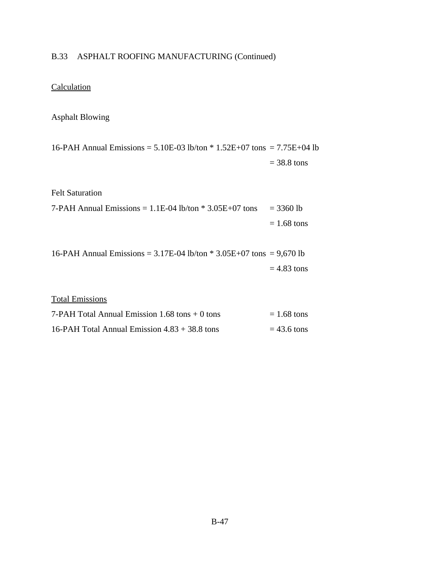# B.33 ASPHALT ROOFING MANUFACTURING (Continued)

# **Calculation**

## Asphalt Blowing

16-PAH Annual Emissions =  $5.10E-03$  lb/ton  $*$  1.52E+07 tons =  $7.75E+04$  lb  $= 38.8$  tons

## Felt Saturation

| 7-PAH Annual Emissions = $1.1E$ -04 lb/ton $*$ 3.05E+07 tons = 3360 lb |               |
|------------------------------------------------------------------------|---------------|
|                                                                        | $= 1.68$ tons |

16-PAH Annual Emissions =  $3.17E-04$  lb/ton  $*$  3.05E+07 tons = 9,670 lb  $= 4.83$  tons

## Total Emissions

| 7-PAH Total Annual Emission $1.68$ tons $+0$ tons | $= 1.68$ tons |
|---------------------------------------------------|---------------|
| 16-PAH Total Annual Emission $4.83 + 38.8$ tons   | $= 43.6$ tons |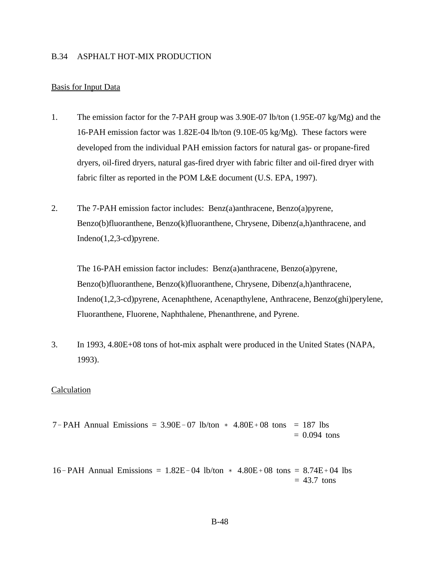#### B.34 ASPHALT HOT-MIX PRODUCTION

#### Basis for Input Data

- 1. The emission factor for the 7-PAH group was 3.90E-07 lb/ton (1.95E-07 kg/Mg) and the 16-PAH emission factor was 1.82E-04 lb/ton (9.10E-05 kg/Mg). These factors were developed from the individual PAH emission factors for natural gas- or propane-fired dryers, oil-fired dryers, natural gas-fired dryer with fabric filter and oil-fired dryer with fabric filter as reported in the POM L&E document (U.S. EPA, 1997).
- 2. The 7-PAH emission factor includes: Benz(a)anthracene, Benzo(a)pyrene, Benzo(b)fluoranthene, Benzo(k)fluoranthene, Chrysene, Dibenz(a,h)anthracene, and Indeno(1,2,3-cd)pyrene.

The 16-PAH emission factor includes: Benz(a)anthracene, Benzo(a)pyrene, Benzo(b)fluoranthene, Benzo(k)fluoranthene, Chrysene, Dibenz(a,h)anthracene, Indeno(1,2,3-cd)pyrene, Acenaphthene, Acenapthylene, Anthracene, Benzo(ghi)perylene, Fluoranthene, Fluorene, Naphthalene, Phenanthrene, and Pyrene.

3. In 1993, 4.80E+08 tons of hot-mix asphalt were produced in the United States (NAPA, 1993).

#### Calculation

 $7 - PAH$  Annual Emissions = 3.90E-07 lb/ton  $*$  4.80E+08 tons = 187 lbs  $= 0.094$  tons

16-PAH Annual Emissions =  $1.82E-04$  lb/ton  $*$  4.80E + 08 tons = 8.74E + 04 lbs  $= 43.7$  tons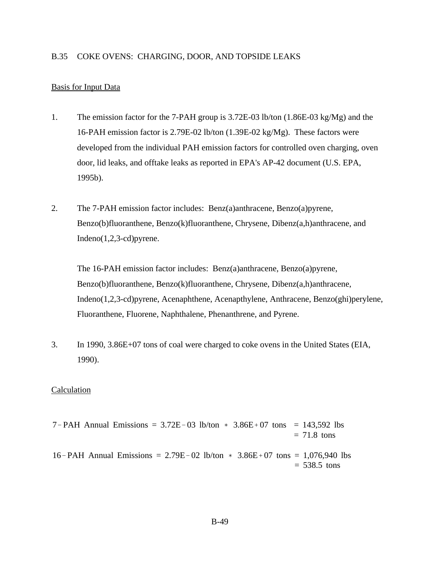#### B.35 COKE OVENS: CHARGING, DOOR, AND TOPSIDE LEAKS

#### Basis for Input Data

- 1. The emission factor for the 7-PAH group is 3.72E-03 lb/ton (1.86E-03 kg/Mg) and the 16-PAH emission factor is 2.79E-02 lb/ton (1.39E-02 kg/Mg). These factors were developed from the individual PAH emission factors for controlled oven charging, oven door, lid leaks, and offtake leaks as reported in EPA's AP-42 document (U.S. EPA, 1995b).
- 2. The 7-PAH emission factor includes: Benz(a)anthracene, Benzo(a)pyrene, Benzo(b)fluoranthene, Benzo(k)fluoranthene, Chrysene, Dibenz(a,h)anthracene, and Indeno(1,2,3-cd)pyrene.

The 16-PAH emission factor includes: Benz(a)anthracene, Benzo(a)pyrene, Benzo(b)fluoranthene, Benzo(k)fluoranthene, Chrysene, Dibenz(a,h)anthracene, Indeno(1,2,3-cd)pyrene, Acenaphthene, Acenapthylene, Anthracene, Benzo(ghi)perylene, Fluoranthene, Fluorene, Naphthalene, Phenanthrene, and Pyrene.

3. In 1990, 3.86E+07 tons of coal were charged to coke ovens in the United States (EIA, 1990).

#### Calculation

 $7 - PAH$  Annual Emissions =  $3.72E - 03$  lb/ton  $*$   $3.86E + 07$  tons = 143,592 lbs  $= 71.8$  tons 16-PAH Annual Emissions = 2.79E-02 lb/ton  $*$  3.86E+07 tons = 1,076,940 lbs  $= 538.5$  tons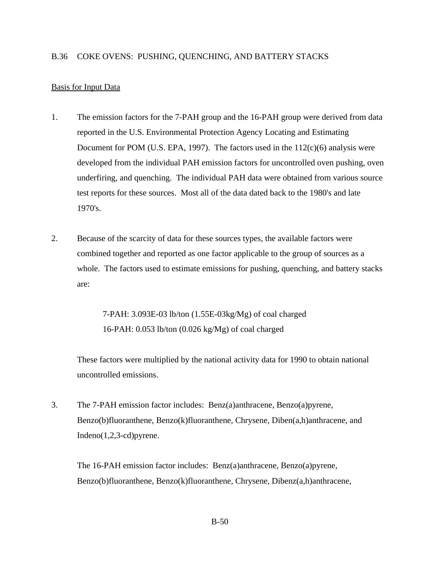## Basis for Input Data

- 1. The emission factors for the 7-PAH group and the 16-PAH group were derived from data reported in the U.S. Environmental Protection Agency Locating and Estimating Document for POM (U.S. EPA, 1997). The factors used in the  $112(c)(6)$  analysis were developed from the individual PAH emission factors for uncontrolled oven pushing, oven underfiring, and quenching. The individual PAH data were obtained from various source test reports for these sources. Most all of the data dated back to the 1980's and late 1970's.
- 2. Because of the scarcity of data for these sources types, the available factors were combined together and reported as one factor applicable to the group of sources as a whole. The factors used to estimate emissions for pushing, quenching, and battery stacks are:

7-PAH: 3.093E-03 lb/ton (1.55E-03kg/Mg) of coal charged 16-PAH: 0.053 lb/ton (0.026 kg/Mg) of coal charged

These factors were multiplied by the national activity data for 1990 to obtain national uncontrolled emissions.

3. The 7-PAH emission factor includes: Benz(a)anthracene, Benzo(a)pyrene, Benzo(b)fluoranthene, Benzo(k)fluoranthene, Chrysene, Diben(a,h)anthracene, and Indeno(1,2,3-cd)pyrene.

The 16-PAH emission factor includes: Benz(a)anthracene, Benzo(a)pyrene, Benzo(b)fluoranthene, Benzo(k)fluoranthene, Chrysene, Dibenz(a,h)anthracene,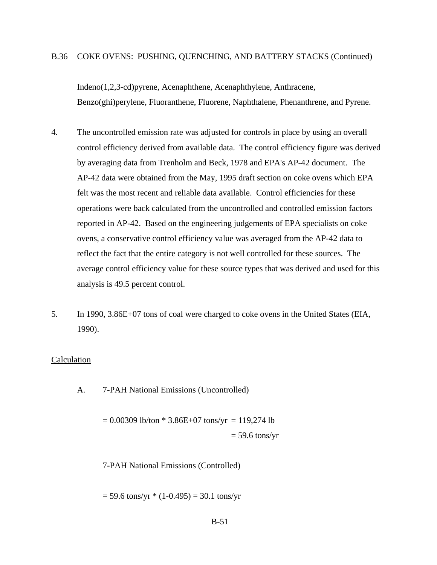#### B.36 COKE OVENS: PUSHING, QUENCHING, AND BATTERY STACKS (Continued)

Indeno(1,2,3-cd)pyrene, Acenaphthene, Acenaphthylene, Anthracene, Benzo(ghi)perylene, Fluoranthene, Fluorene, Naphthalene, Phenanthrene, and Pyrene.

- 4. The uncontrolled emission rate was adjusted for controls in place by using an overall control efficiency derived from available data. The control efficiency figure was derived by averaging data from Trenholm and Beck, 1978 and EPA's AP-42 document. The AP-42 data were obtained from the May, 1995 draft section on coke ovens which EPA felt was the most recent and reliable data available. Control efficiencies for these operations were back calculated from the uncontrolled and controlled emission factors reported in AP-42. Based on the engineering judgements of EPA specialists on coke ovens, a conservative control efficiency value was averaged from the AP-42 data to reflect the fact that the entire category is not well controlled for these sources. The average control efficiency value for these source types that was derived and used for this analysis is 49.5 percent control.
- 5. In 1990, 3.86E+07 tons of coal were charged to coke ovens in the United States (EIA, 1990).

#### Calculation

A. 7-PAH National Emissions (Uncontrolled)

 $= 0.00309$  lb/ton  $* 3.86E+07$  tons/yr  $= 119,274$  lb  $= 59.6$  tons/yr

7-PAH National Emissions (Controlled)

 $= 59.6$  tons/yr  $*(1-0.495) = 30.1$  tons/yr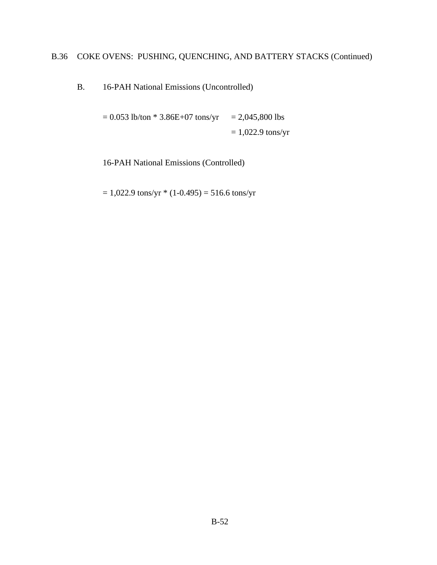# B.36 COKE OVENS: PUSHING, QUENCHING, AND BATTERY STACKS (Continued)

B. 16-PAH National Emissions (Uncontrolled)

 $= 0.053$  lb/ton \* 3.86E+07 tons/yr  $= 2,045,800$  lbs  $= 1,022.9$  tons/yr

16-PAH National Emissions (Controlled)

 $= 1,022.9$  tons/yr  $*(1-0.495) = 516.6$  tons/yr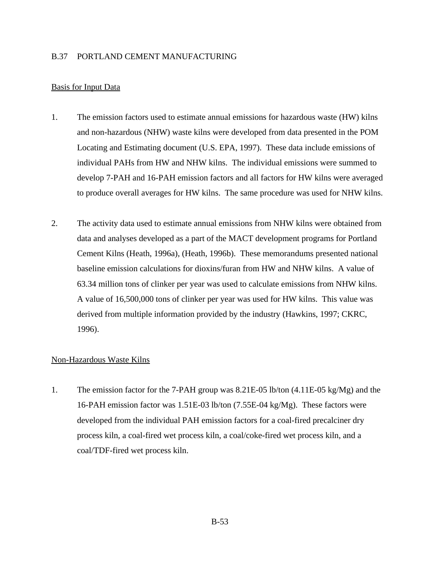## B.37 PORTLAND CEMENT MANUFACTURING

## Basis for Input Data

- 1. The emission factors used to estimate annual emissions for hazardous waste (HW) kilns and non-hazardous (NHW) waste kilns were developed from data presented in the POM Locating and Estimating document (U.S. EPA, 1997). These data include emissions of individual PAHs from HW and NHW kilns. The individual emissions were summed to develop 7-PAH and 16-PAH emission factors and all factors for HW kilns were averaged to produce overall averages for HW kilns. The same procedure was used for NHW kilns.
- 2. The activity data used to estimate annual emissions from NHW kilns were obtained from data and analyses developed as a part of the MACT development programs for Portland Cement Kilns (Heath, 1996a), (Heath, 1996b). These memorandums presented national baseline emission calculations for dioxins/furan from HW and NHW kilns. A value of 63.34 million tons of clinker per year was used to calculate emissions from NHW kilns. A value of 16,500,000 tons of clinker per year was used for HW kilns. This value was derived from multiple information provided by the industry (Hawkins, 1997; CKRC, 1996).

## Non-Hazardous Waste Kilns

1. The emission factor for the 7-PAH group was 8.21E-05 lb/ton (4.11E-05 kg/Mg) and the 16-PAH emission factor was 1.51E-03 lb/ton (7.55E-04 kg/Mg). These factors were developed from the individual PAH emission factors for a coal-fired precalciner dry process kiln, a coal-fired wet process kiln, a coal/coke-fired wet process kiln, and a coal/TDF-fired wet process kiln.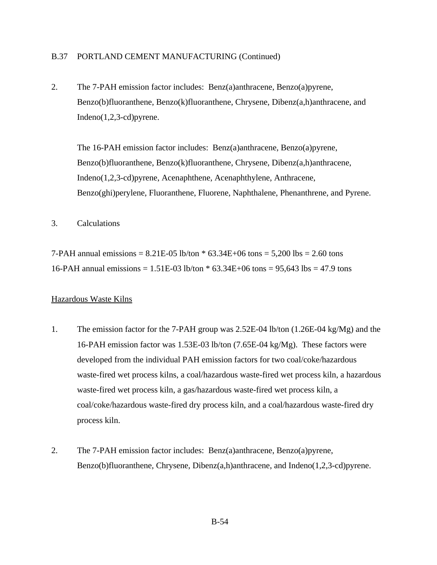## B.37 PORTLAND CEMENT MANUFACTURING (Continued)

2. The 7-PAH emission factor includes: Benz(a)anthracene, Benzo(a)pyrene, Benzo(b)fluoranthene, Benzo(k)fluoranthene, Chrysene, Dibenz(a,h)anthracene, and Indeno(1,2,3-cd)pyrene.

The 16-PAH emission factor includes: Benz(a)anthracene, Benzo(a)pyrene, Benzo(b)fluoranthene, Benzo(k)fluoranthene, Chrysene, Dibenz(a,h)anthracene, Indeno(1,2,3-cd)pyrene, Acenaphthene, Acenaphthylene, Anthracene, Benzo(ghi)perylene, Fluoranthene, Fluorene, Naphthalene, Phenanthrene, and Pyrene.

3. Calculations

7-PAH annual emissions =  $8.21E-05$  lb/ton  $*$  63.34E+06 tons =  $5,200$  lbs = 2.60 tons 16-PAH annual emissions = 1.51E-03 lb/ton \* 63.34E+06 tons = 95,643 lbs = 47.9 tons

#### Hazardous Waste Kilns

- 1. The emission factor for the 7-PAH group was 2.52E-04 lb/ton (1.26E-04 kg/Mg) and the 16-PAH emission factor was 1.53E-03 lb/ton (7.65E-04 kg/Mg). These factors were developed from the individual PAH emission factors for two coal/coke/hazardous waste-fired wet process kilns, a coal/hazardous waste-fired wet process kiln, a hazardous waste-fired wet process kiln, a gas/hazardous waste-fired wet process kiln, a coal/coke/hazardous waste-fired dry process kiln, and a coal/hazardous waste-fired dry process kiln.
- 2. The 7-PAH emission factor includes: Benz(a)anthracene, Benzo(a)pyrene, Benzo(b)fluoranthene, Chrysene, Dibenz(a,h)anthracene, and Indeno(1,2,3-cd)pyrene.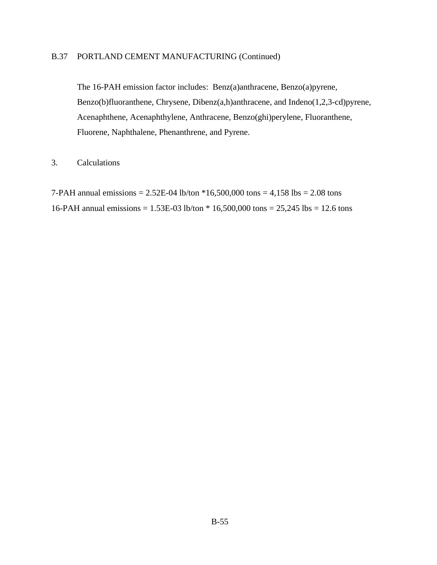## B.37 PORTLAND CEMENT MANUFACTURING (Continued)

The 16-PAH emission factor includes: Benz(a)anthracene, Benzo(a)pyrene, Benzo(b)fluoranthene, Chrysene, Dibenz(a,h)anthracene, and Indeno(1,2,3-cd)pyrene, Acenaphthene, Acenaphthylene, Anthracene, Benzo(ghi)perylene, Fluoranthene, Fluorene, Naphthalene, Phenanthrene, and Pyrene.

## 3. Calculations

7-PAH annual emissions = 2.52E-04 lb/ton \*16,500,000 tons = 4,158 lbs = 2.08 tons 16-PAH annual emissions = 1.53E-03 lb/ton \* 16,500,000 tons = 25,245 lbs = 12.6 tons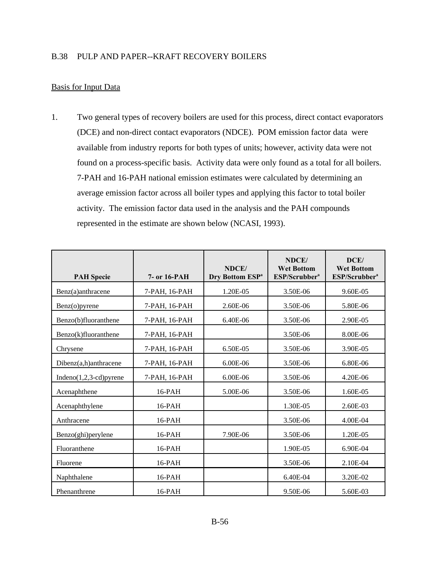## B.38 PULP AND PAPER--KRAFT RECOVERY BOILERS

## Basis for Input Data

1. Two general types of recovery boilers are used for this process, direct contact evaporators (DCE) and non-direct contact evaporators (NDCE). POM emission factor data were available from industry reports for both types of units; however, activity data were not found on a process-specific basis. Activity data were only found as a total for all boilers. 7-PAH and 16-PAH national emission estimates were calculated by determining an average emission factor across all boiler types and applying this factor to total boiler activity. The emission factor data used in the analysis and the PAH compounds represented in the estimate are shown below (NCASI, 1993).

| <b>PAH Specie</b>          | 7- or 16-PAH  | NDCE/<br>Dry Bottom ESP <sup>a</sup> | NDCE/<br><b>Wet Bottom</b><br>ESP/Scrubber <sup>a</sup> | DCE/<br><b>Wet Bottom</b><br>ESP/Scrubber <sup>a</sup> |
|----------------------------|---------------|--------------------------------------|---------------------------------------------------------|--------------------------------------------------------|
| Benz(a)anthracene          | 7-PAH, 16-PAH | 1.20E-05                             | 3.50E-06                                                | 9.60E-05                                               |
| $Benz(o)$ pyrene           | 7-PAH, 16-PAH | 2.60E-06                             | 3.50E-06                                                | 5.80E-06                                               |
| Benzo(b)fluoranthene       | 7-PAH, 16-PAH | 6.40E-06                             | 3.50E-06                                                | 2.90E-05                                               |
| Benzo(k)fluoranthene       | 7-PAH, 16-PAH |                                      | 3.50E-06                                                | 8.00E-06                                               |
| Chrysene                   | 7-PAH, 16-PAH | 6.50E-05                             | 3.50E-06                                                | 3.90E-05                                               |
| Dibenz(a,h)anthracene      | 7-PAH, 16-PAH | 6.00E-06                             | 3.50E-06                                                | 6.80E-06                                               |
| Indeno $(1,2,3$ -cd)pyrene | 7-PAH, 16-PAH | 6.00E-06                             | 3.50E-06                                                | 4.20E-06                                               |
| Acenaphthene               | $16$ -PAH     | 5.00E-06                             | 3.50E-06                                                | 1.60E-05                                               |
| Acenaphthylene             | $16$ -PAH     |                                      | 1.30E-05                                                | 2.60E-03                                               |
| Anthracene                 | 16-PAH        |                                      | 3.50E-06                                                | 4.00E-04                                               |
| Benzo(ghi)perylene         | $16$ -PAH     | 7.90E-06                             | 3.50E-06                                                | 1.20E-05                                               |
| Fluoranthene               | $16$ -PAH     |                                      | 1.90E-05                                                | 6.90E-04                                               |
| Fluorene                   | 16-PAH        |                                      | 3.50E-06                                                | 2.10E-04                                               |
| Naphthalene                | 16-PAH        |                                      | 6.40E-04                                                | 3.20E-02                                               |
| Phenanthrene               | $16$ -PAH     |                                      | 9.50E-06                                                | 5.60E-03                                               |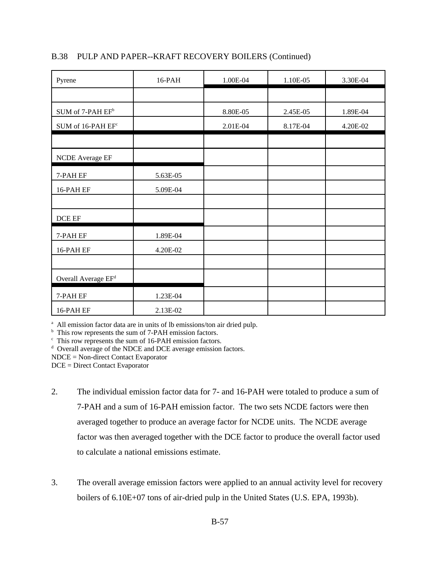| B.38 PULP AND PAPER--KRAFT RECOVERY BOILERS (Continued) |  |
|---------------------------------------------------------|--|
|                                                         |  |

| Pyrene                                  | 16-PAH   | 1.00E-04 | 1.10E-05 | 3.30E-04 |
|-----------------------------------------|----------|----------|----------|----------|
|                                         |          |          |          |          |
| SUM of 7-PAH EF <sup>b</sup>            |          | 8.80E-05 | 2.45E-05 | 1.89E-04 |
| $\mathop{\rm SUM}$ of 16-PAH $\rm EF^c$ |          | 2.01E-04 | 8.17E-04 | 4.20E-02 |
|                                         |          |          |          |          |
| NCDE Average EF                         |          |          |          |          |
| 7-PAH EF                                | 5.63E-05 |          |          |          |
| 16-PAH EF                               | 5.09E-04 |          |          |          |
|                                         |          |          |          |          |
| DCE EF                                  |          |          |          |          |
| 7-PAH EF                                | 1.89E-04 |          |          |          |
| 16-PAH EF                               | 4.20E-02 |          |          |          |
|                                         |          |          |          |          |
| Overall Average EF <sup>d</sup>         |          |          |          |          |
| 7-PAH EF                                | 1.23E-04 |          |          |          |
| 16-PAH EF                               | 2.13E-02 |          |          |          |

<sup>a</sup> All emission factor data are in units of lb emissions/ton air dried pulp.

<sup>b</sup> This row represents the sum of 7-PAH emission factors.

c This row represents the sum of 16-PAH emission factors.

<sup>d</sup> Overall average of the NDCE and DCE average emission factors.

NDCE = Non-direct Contact Evaporator

DCE = Direct Contact Evaporator

- 2. The individual emission factor data for 7- and 16-PAH were totaled to produce a sum of 7-PAH and a sum of 16-PAH emission factor. The two sets NCDE factors were then averaged together to produce an average factor for NCDE units. The NCDE average factor was then averaged together with the DCE factor to produce the overall factor used to calculate a national emissions estimate.
- 3. The overall average emission factors were applied to an annual activity level for recovery boilers of 6.10E+07 tons of air-dried pulp in the United States (U.S. EPA, 1993b).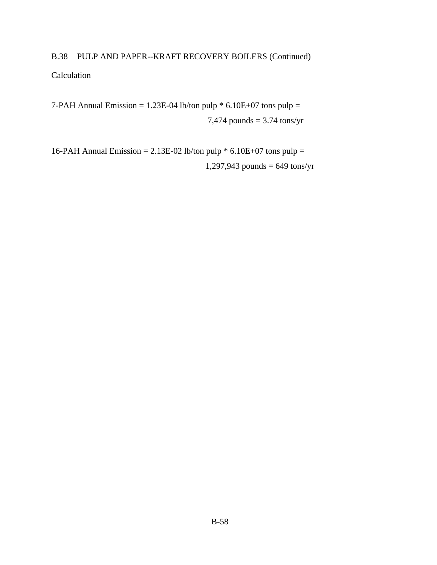# B.38 PULP AND PAPER--KRAFT RECOVERY BOILERS (Continued) **Calculation**

7-PAH Annual Emission =  $1.23E-04$  lb/ton pulp  $* 6.10E+07$  tons pulp = 7,474 pounds = 3.74 tons/yr

16-PAH Annual Emission = 2.13E-02 lb/ton pulp  $*$  6.10E+07 tons pulp = 1,297,943 pounds = 649 tons/yr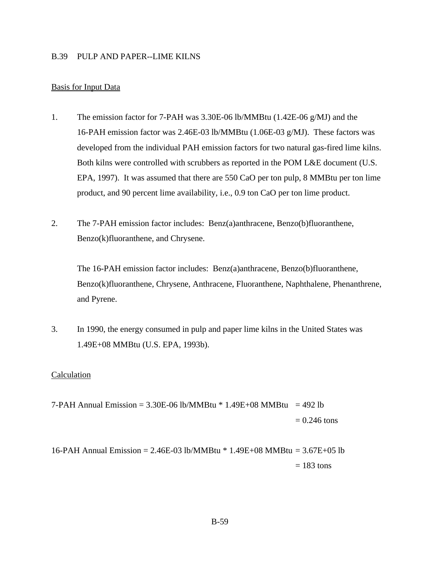### B.39 PULP AND PAPER--LIME KILNS

## Basis for Input Data

- 1. The emission factor for 7-PAH was 3.30E-06 lb/MMBtu (1.42E-06 g/MJ) and the 16-PAH emission factor was 2.46E-03 lb/MMBtu (1.06E-03 g/MJ). These factors was developed from the individual PAH emission factors for two natural gas-fired lime kilns. Both kilns were controlled with scrubbers as reported in the POM L&E document (U.S. EPA, 1997). It was assumed that there are 550 CaO per ton pulp, 8 MMBtu per ton lime product, and 90 percent lime availability, i.e., 0.9 ton CaO per ton lime product.
- 2. The 7-PAH emission factor includes: Benz(a)anthracene, Benzo(b)fluoranthene, Benzo(k)fluoranthene, and Chrysene.

The 16-PAH emission factor includes: Benz(a)anthracene, Benzo(b)fluoranthene, Benzo(k)fluoranthene, Chrysene, Anthracene, Fluoranthene, Naphthalene, Phenanthrene, and Pyrene.

3. In 1990, the energy consumed in pulp and paper lime kilns in the United States was 1.49E+08 MMBtu (U.S. EPA, 1993b).

#### Calculation

7-PAH Annual Emission =  $3.30E$ -06 lb/MMBtu  $*$  1.49E+08 MMBtu = 492 lb  $= 0.246$  tons

16-PAH Annual Emission = 2.46E-03 lb/MMBtu \* 1.49E+08 MMBtu = 3.67E+05 lb  $= 183$  tons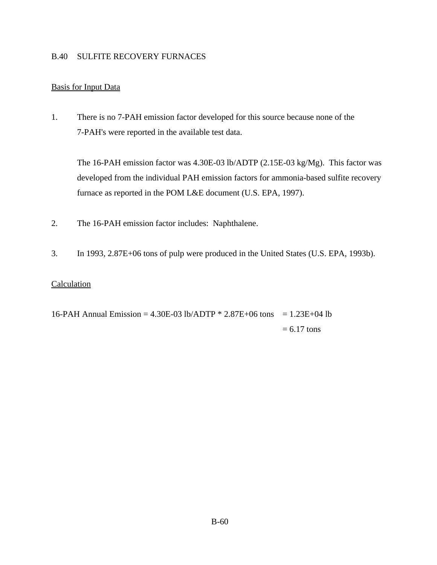## B.40 SULFITE RECOVERY FURNACES

## Basis for Input Data

1. There is no 7-PAH emission factor developed for this source because none of the 7-PAH's were reported in the available test data.

The 16-PAH emission factor was 4.30E-03 lb/ADTP (2.15E-03 kg/Mg). This factor was developed from the individual PAH emission factors for ammonia-based sulfite recovery furnace as reported in the POM L&E document (U.S. EPA, 1997).

- 2. The 16-PAH emission factor includes: Naphthalene.
- 3. In 1993, 2.87E+06 tons of pulp were produced in the United States (U.S. EPA, 1993b).

## **Calculation**

16-PAH Annual Emission = 4.30E-03 lb/ADTP  $*$  2.87E+06 tons = 1.23E+04 lb  $= 6.17$  tons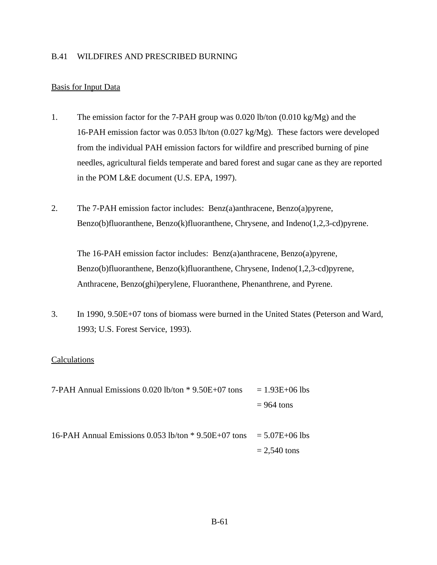## B.41 WILDFIRES AND PRESCRIBED BURNING

## Basis for Input Data

- 1. The emission factor for the 7-PAH group was 0.020 lb/ton (0.010 kg/Mg) and the 16-PAH emission factor was 0.053 lb/ton (0.027 kg/Mg). These factors were developed from the individual PAH emission factors for wildfire and prescribed burning of pine needles, agricultural fields temperate and bared forest and sugar cane as they are reported in the POM L&E document (U.S. EPA, 1997).
- 2. The 7-PAH emission factor includes: Benz(a)anthracene, Benzo(a)pyrene, Benzo(b)fluoranthene, Benzo(k)fluoranthene, Chrysene, and Indeno(1,2,3-cd)pyrene.

The 16-PAH emission factor includes: Benz(a)anthracene, Benzo(a)pyrene, Benzo(b)fluoranthene, Benzo(k)fluoranthene, Chrysene, Indeno(1,2,3-cd)pyrene, Anthracene, Benzo(ghi)perylene, Fluoranthene, Phenanthrene, and Pyrene.

3. In 1990, 9.50E+07 tons of biomass were burned in the United States (Peterson and Ward, 1993; U.S. Forest Service, 1993).

## Calculations

- 7-PAH Annual Emissions  $0.020$  lb/ton  $*$  9.50E+07 tons = 1.93E+06 lbs  $= 964$  tons
- 16-PAH Annual Emissions 0.053 lb/ton  $*$  9.50E+07 tons = 5.07E+06 lbs  $= 2,540$  tons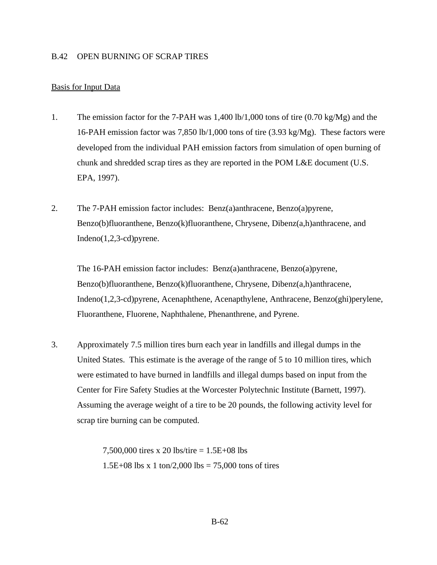#### B.42 OPEN BURNING OF SCRAP TIRES

## Basis for Input Data

- 1. The emission factor for the 7-PAH was 1,400 lb/1,000 tons of tire (0.70 kg/Mg) and the 16-PAH emission factor was 7,850 lb/1,000 tons of tire (3.93 kg/Mg). These factors were developed from the individual PAH emission factors from simulation of open burning of chunk and shredded scrap tires as they are reported in the POM L&E document (U.S. EPA, 1997).
- 2. The 7-PAH emission factor includes: Benz(a)anthracene, Benzo(a)pyrene, Benzo(b)fluoranthene, Benzo(k)fluoranthene, Chrysene, Dibenz(a,h)anthracene, and Indeno(1,2,3-cd)pyrene.

The 16-PAH emission factor includes: Benz(a)anthracene, Benzo(a)pyrene, Benzo(b)fluoranthene, Benzo(k)fluoranthene, Chrysene, Dibenz(a,h)anthracene, Indeno(1,2,3-cd)pyrene, Acenaphthene, Acenapthylene, Anthracene, Benzo(ghi)perylene, Fluoranthene, Fluorene, Naphthalene, Phenanthrene, and Pyrene.

3. Approximately 7.5 million tires burn each year in landfills and illegal dumps in the United States. This estimate is the average of the range of 5 to 10 million tires, which were estimated to have burned in landfills and illegal dumps based on input from the Center for Fire Safety Studies at the Worcester Polytechnic Institute (Barnett, 1997). Assuming the average weight of a tire to be 20 pounds, the following activity level for scrap tire burning can be computed.

> 7,500,000 tires x 20 lbs/tire = 1.5E+08 lbs 1.5E+08 lbs x 1 ton/2,000 lbs =  $75,000$  tons of tires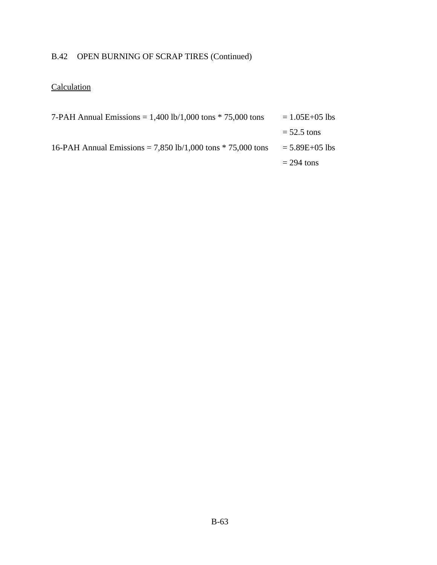# B.42 OPEN BURNING OF SCRAP TIRES (Continued)

# **Calculation**

| 7-PAH Annual Emissions = $1,400$ lb/1,000 tons $*$ 75,000 tons | $= 1.05E + 05$ lbs |
|----------------------------------------------------------------|--------------------|
|                                                                | $=$ 52.5 tons      |
| 16-PAH Annual Emissions = 7,850 lb/1,000 tons $*$ 75,000 tons  | $= 5.89E + 05$ lbs |
|                                                                | $= 294$ tons       |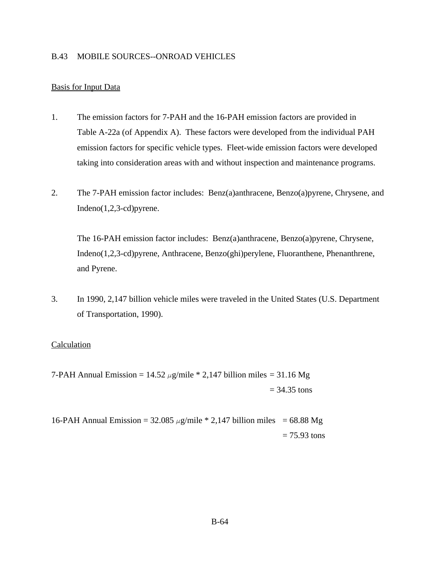#### B.43 MOBILE SOURCES--ONROAD VEHICLES

#### Basis for Input Data

- 1. The emission factors for 7-PAH and the 16-PAH emission factors are provided in Table A-22a (of Appendix A). These factors were developed from the individual PAH emission factors for specific vehicle types. Fleet-wide emission factors were developed taking into consideration areas with and without inspection and maintenance programs.
- 2. The 7-PAH emission factor includes: Benz(a)anthracene, Benzo(a)pyrene, Chrysene, and Indeno(1,2,3-cd)pyrene.

The 16-PAH emission factor includes: Benz(a)anthracene, Benzo(a)pyrene, Chrysene, Indeno(1,2,3-cd)pyrene, Anthracene, Benzo(ghi)perylene, Fluoranthene, Phenanthrene, and Pyrene.

3. In 1990, 2,147 billion vehicle miles were traveled in the United States (U.S. Department of Transportation, 1990).

#### **Calculation**

7-PAH Annual Emission =  $14.52 \mu g/mile * 2,147$  billion miles = 31.16 Mg  $= 34.35$  tons

16-PAH Annual Emission =  $32.085 \mu g/mile * 2,147$  billion miles = 68.88 Mg  $= 75.93$  tons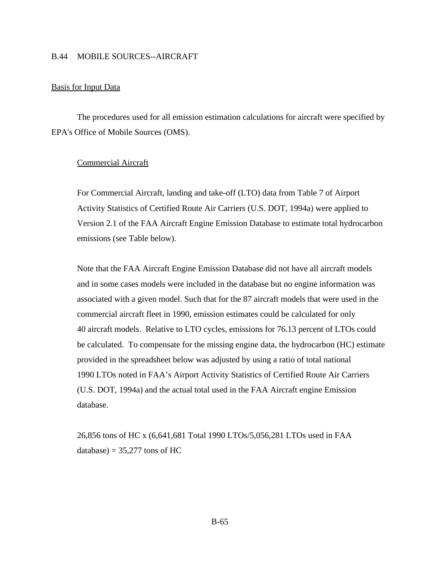#### B.44 MOBILE SOURCES--AIRCRAFT

#### Basis for Input Data

The procedures used for all emission estimation calculations for aircraft were specified by EPA's Office of Mobile Sources (OMS).

#### Commercial Aircraft

For Commercial Aircraft, landing and take-off (LTO) data from Table 7 of Airport Activity Statistics of Certified Route Air Carriers (U.S. DOT, 1994a) were applied to Version 2.1 of the FAA Aircraft Engine Emission Database to estimate total hydrocarbon emissions (see Table below).

Note that the FAA Aircraft Engine Emission Database did not have all aircraft models and in some cases models were included in the database but no engine information was associated with a given model. Such that for the 87 aircraft models that were used in the commercial aircraft fleet in 1990, emission estimates could be calculated for only 40 aircraft models. Relative to LTO cycles, emissions for 76.13 percent of LTOs could be calculated. To compensate for the missing engine data, the hydrocarbon (HC) estimate provided in the spreadsheet below was adjusted by using a ratio of total national 1990 LTOs noted in FAA's Airport Activity Statistics of Certified Route Air Carriers (U.S. DOT, 1994a) and the actual total used in the FAA Aircraft engine Emission database.

26,856 tons of HC x (6,641,681 Total 1990 LTOs/5,056,281 LTOs used in FAA database) =  $35,277$  tons of HC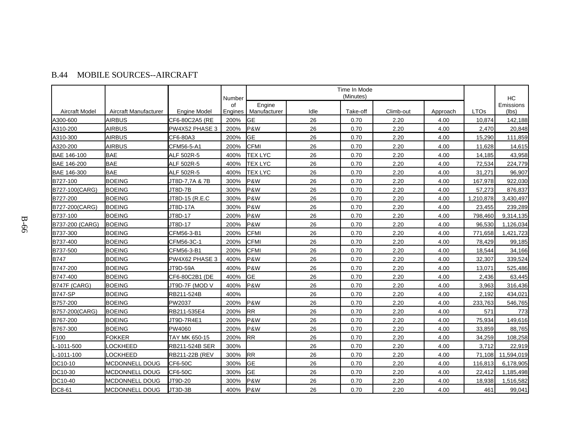|                       |                       |                     | Number        | Time In Mode<br>(Minutes) |      |          |           |          | <b>HC</b>   |                    |
|-----------------------|-----------------------|---------------------|---------------|---------------------------|------|----------|-----------|----------|-------------|--------------------|
| <b>Aircraft Model</b> | Aircraft Manufacturer | <b>Engine Model</b> | of<br>Engines | Engine<br>Manufacturer    | Idle | Take-off | Climb-out | Approach | <b>LTOs</b> | Emissions<br>(lbs) |
| A300-600              | <b>AIRBUS</b>         | CF6-80C2A5 (RE      | 200%          | <b>I</b> GE               | 26   | 0.70     | 2.20      | 4.00     | 10,874      | 142,188            |
| A310-200              | <b>AIRBUS</b>         | PW4X52 PHASE 3      | 200%          | P&W                       | 26   | 0.70     | 2.20      | 4.00     | 2.470       | 20,848             |
| A310-300              | <b>AIRBUS</b>         | CF6-80A3            | 200%          | <b>GE</b>                 | 26   | 0.70     | 2.20      | 4.00     | 15,290      | 111,859            |
| A320-200              | <b>AIRBUS</b>         | CFM56-5-A1          | 200%          | <b>CFMI</b>               | 26   | 0.70     | 2.20      | 4.00     | 11.628      | 14,615             |
| BAE 146-100           | <b>BAE</b>            | ALF 502R-5          | 400%          | <b>TEX LYC</b>            | 26   | 0.70     | 2.20      | 4.00     | 14,185      | 43,958             |
| BAE 146-200           | <b>BAE</b>            | ALF 502R-5          | 400%          | <b>TEX LYC</b>            | 26   | 0.70     | 2.20      | 4.00     | 72,534      | 224,779            |
| BAE 146-300           | <b>BAE</b>            | ALF 502R-5          | 400%          | <b>TEX LYC</b>            | 26   | 0.70     | 2.20      | 4.00     | 31,271      | 96,907             |
| B727-100              | <b>BOEING</b>         | JT8D-7,7A & 7B      | 300%          | P&W                       | 26   | 0.70     | 2.20      | 4.00     | 167,978     | 922,030            |
| B727-100(CARG)        | <b>BOEING</b>         | JT8D-7B             | 300%          | P&W                       | 26   | 0.70     | 2.20      | 4.00     | 57,273      | 876,837            |
| B727-200              | <b>BOEING</b>         | JT8D-15 (R.E.C      | 300%          | <b>P&amp;W</b>            | 26   | 0.70     | 2.20      | 4.00     | 1,210,878   | 3,430,497          |
| B727-200(CARG)        | <b>BOEING</b>         | JT8D-17A            | 300%          | P&W                       | 26   | 0.70     | 2.20      | 4.00     | 23,455      | 239,289            |
| B737-100              | <b>BOEING</b>         | JT8D-17             | 200%          | P&W                       | 26   | 0.70     | 2.20      | 4.00     | 798,460     | 9,314,135          |
| B737-200 (CARG)       | <b>BOEING</b>         | JT8D-17             | 200%          | P&W                       | 26   | 0.70     | 2.20      | 4.00     | 96,530      | 1,126,034          |
| B737-300              | <b>BOEING</b>         | CFM56-3-B1          | 200%          | <b>CFMI</b>               | 26   | 0.70     | 2.20      | 4.00     | 771,658     | 1,421,723          |
| B737-400              | <b>BOEING</b>         | CFM56-3C-1          | 200%          | <b>CFMI</b>               | 26   | 0.70     | 2.20      | 4.00     | 78,429      | 99,185             |
| B737-500              | <b>BOEING</b>         | CFM56-3-B1          | 200%          | <b>CFMI</b>               | 26   | 0.70     | 2.20      | 4.00     | 18,544      | 34,166             |
| B747                  | <b>BOEING</b>         | PW4X62 PHASE 3      | 400%          | P&W                       | 26   | 0.70     | 2.20      | 4.00     | 32,307      | 339,524            |
| B747-200              | <b>BOEING</b>         | JT9D-59A            | 400%          | P&W                       | 26   | 0.70     | 2.20      | 4.00     | 13,071      | 525,486            |
| B747-400              | <b>BOEING</b>         | CF6-80C2B1 (DE      | 400%          | <b>GE</b>                 | 26   | 0.70     | 2.20      | 4.00     | 2,436       | 63,445             |
| B747F (CARG)          | <b>BOEING</b>         | JT9D-7F (MOD V      | 400%          | P&W                       | 26   | 0.70     | 2.20      | 4.00     | 3,963       | 316,436            |
| B747-SP               | <b>BOEING</b>         | RB211-524B          | 400%          |                           | 26   | 0.70     | 2.20      | 4.00     | 2,192       | 434,021            |
| B757-200              | <b>BOEING</b>         | PW2037              | 200%          | P&W                       | 26   | 0.70     | 2.20      | 4.00     | 233,763     | 546,765            |
| B757-200(CARG)        | <b>BOEING</b>         | RB211-535E4         | 200%          | <b>RR</b>                 | 26   | 0.70     | 2.20      | 4.00     | 571         | 773                |
| B767-200              | <b>BOEING</b>         | JT9D-7R4E1          | 200%          | P&W                       | 26   | 0.70     | 2.20      | 4.00     | 75,934      | 149,616            |
| B767-300              | <b>BOEING</b>         | PW4060              | 200%          | P&W                       | 26   | 0.70     | 2.20      | 4.00     | 33,859      | 88,765             |
| F100                  | <b>FOKKER</b>         | TAY MK 650-15       | 200%          | <b>RR</b>                 | 26   | 0.70     | 2.20      | 4.00     | 34,259      | 108,258            |
| L-1011-500            | <b>OCKHEED</b>        | RB211-524B SER      | 300%          |                           | 26   | 0.70     | 2.20      | 4.00     | 3,712       | 22,919             |
| L-1011-100            | <b>LOCKHEED</b>       | RB211-22B (REV      | 300%          | <b>RR</b>                 | 26   | 0.70     | 2.20      | 4.00     | 71,108      | 11,594,019         |
| DC10-10               | MCDONNELL DOUG        | CF6-50C             | 300%          | <b>GE</b>                 | 26   | 0.70     | 2.20      | 4.00     | 116,813     | 6,178,905          |
| DC10-30               | MCDONNELL DOUG        | CF6-50C             | 300%          | <b>I</b> GE               | 26   | 0.70     | 2.20      | 4.00     | 22,412      | 1,185,498          |
| DC10-40               | MCDONNELL DOUG        | JT9D-20             | 300%          | P&W                       | 26   | 0.70     | 2.20      | 4.00     | 18,938      | 1,516,582          |

DC8-61 MCDONNELL DOUG JT3D-3B 400% P&W 26 0.70 2.20 4.00 4.00 461 99,041

# B.44 MOBILE SOURCES--AIRCRAFT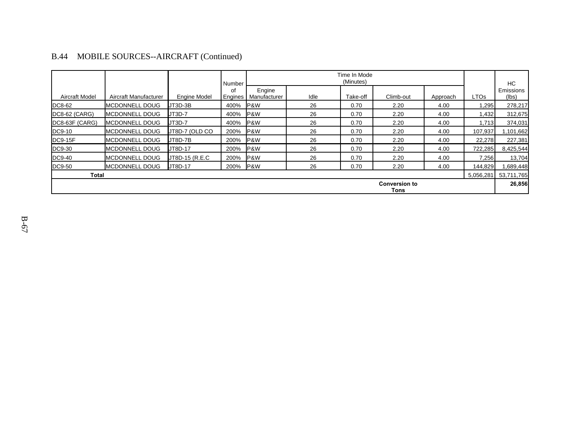|                              |                       |                     | Number        |                        | Time In Mode<br>(Minutes) |          |           |          | HC          |                    |
|------------------------------|-----------------------|---------------------|---------------|------------------------|---------------------------|----------|-----------|----------|-------------|--------------------|
| <b>Aircraft Model</b>        | Aircraft Manufacturer | <b>Engine Model</b> | οf<br>Engines | Engine<br>Manufacturer | Idle                      | Take-off | Climb-out | Approach | <b>LTOs</b> | Emissions<br>(lbs) |
| DC8-62                       | <b>MCDONNELL DOUG</b> | $JT3D-3B$           | 400%          | <b>P&amp;W</b>         | 26                        | 0.70     | 2.20      | 4.00     | ,295        | 278,217            |
| DC8-62 (CARG)                | <b>MCDONNELL DOUG</b> | JT3D-7              | 400%          | P&W                    | 26                        | 0.70     | 2.20      | 4.00     | 1,432       | 312,675            |
| DC8-63F (CARG)               | <b>MCDONNELL DOUG</b> | JT3D-7              | 400%          | P&W                    | 26                        | 0.70     | 2.20      | 4.00     | 1,713       | 374,031            |
| DC9-10                       | <b>MCDONNELL DOUG</b> | JT8D-7 (OLD CO      | 200%          | P&W                    | 26                        | 0.70     | 2.20      | 4.00     | 107,937     | 1,101,662          |
| <b>DC9-15F</b>               | <b>MCDONNELL DOUG</b> | JT8D-7B             | 200%          | P&W                    | 26                        | 0.70     | 2.20      | 4.00     | 22,278      | 227,381            |
| DC9-30                       | <b>MCDONNELL DOUG</b> | JT8D-17             | 200%          | P&W                    | 26                        | 0.70     | 2.20      | 4.00     | 722,285     | 8,425,544          |
| DC9-40                       | <b>MCDONNELL DOUG</b> | JT8D-15 (R.E.C      | 200%          | P&W                    | 26                        | 0.70     | 2.20      | 4.00     | 7,256       | 13,704             |
| DC9-50                       | <b>MCDONNELL DOUG</b> | JT8D-17             | 200%          | P&W                    | 26                        | 0.70     | 2.20      | 4.00     | 144,829     | 1,689,448          |
| Total                        |                       |                     |               |                        |                           |          |           |          | 5,056,281   | 53,711,765         |
| <b>Conversion to</b><br>Tons |                       |                     |               |                        |                           |          |           | 26,856   |             |                    |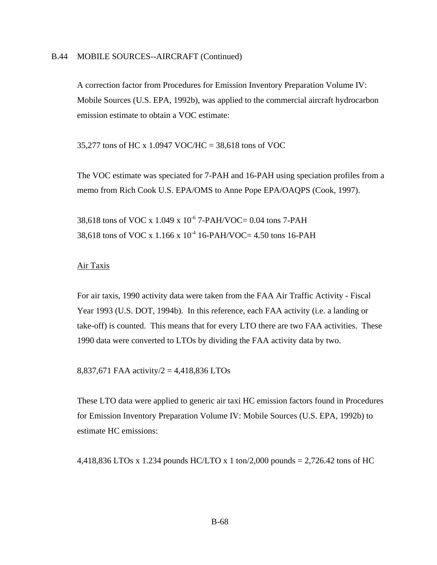A correction factor from Procedures for Emission Inventory Preparation Volume IV: Mobile Sources (U.S. EPA, 1992b), was applied to the commercial aircraft hydrocarbon emission estimate to obtain a VOC estimate:

35,277 tons of HC x 1.0947 VOC/HC = 38,618 tons of VOC

The VOC estimate was speciated for 7-PAH and 16-PAH using speciation profiles from a memo from Rich Cook U.S. EPA/OMS to Anne Pope EPA/OAQPS (Cook, 1997).

38,618 tons of VOC x 1.049 x  $10^{-6}$  7-PAH/VOC= 0.04 tons 7-PAH 38,618 tons of VOC x 1.166 x  $10^{-4}$  16-PAH/VOC= 4.50 tons 16-PAH

#### Air Taxis

For air taxis, 1990 activity data were taken from the FAA Air Traffic Activity - Fiscal Year 1993 (U.S. DOT, 1994b). In this reference, each FAA activity (i.e. a landing or take-off) is counted. This means that for every LTO there are two FAA activities. These 1990 data were converted to LTOs by dividing the FAA activity data by two.

8,837,671 FAA activity/2 = 4,418,836 LTOs

These LTO data were applied to generic air taxi HC emission factors found in Procedures for Emission Inventory Preparation Volume IV: Mobile Sources (U.S. EPA, 1992b) to estimate HC emissions:

4,418,836 LTOs x 1.234 pounds HC/LTO x 1 ton/2,000 pounds = 2,726.42 tons of HC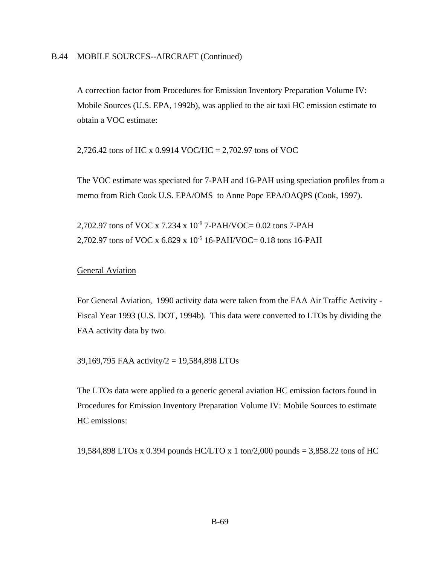A correction factor from Procedures for Emission Inventory Preparation Volume IV: Mobile Sources (U.S. EPA, 1992b), was applied to the air taxi HC emission estimate to obtain a VOC estimate:

2,726.42 tons of HC x 0.9914 VOC/HC = 2,702.97 tons of VOC

The VOC estimate was speciated for 7-PAH and 16-PAH using speciation profiles from a memo from Rich Cook U.S. EPA/OMS to Anne Pope EPA/OAQPS (Cook, 1997).

2,702.97 tons of VOC x 7.234 x 10<sup>-6</sup> 7-PAH/VOC= 0.02 tons 7-PAH 2,702.97 tons of VOC x 6.829 x 10<sup>-5</sup> 16-PAH/VOC= 0.18 tons 16-PAH

### General Aviation

For General Aviation, 1990 activity data were taken from the FAA Air Traffic Activity - Fiscal Year 1993 (U.S. DOT, 1994b). This data were converted to LTOs by dividing the FAA activity data by two.

39,169,795 FAA activity/2 = 19,584,898 LTOs

The LTOs data were applied to a generic general aviation HC emission factors found in Procedures for Emission Inventory Preparation Volume IV: Mobile Sources to estimate HC emissions:

19,584,898 LTOs x 0.394 pounds HC/LTO x 1 ton/2,000 pounds = 3,858.22 tons of HC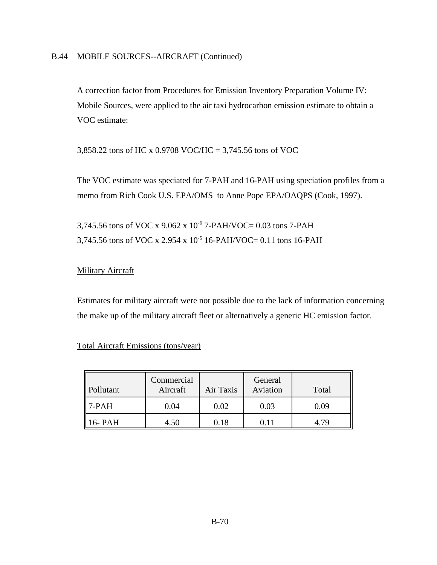A correction factor from Procedures for Emission Inventory Preparation Volume IV: Mobile Sources, were applied to the air taxi hydrocarbon emission estimate to obtain a VOC estimate:

3,858.22 tons of HC x 0.9708 VOC/HC = 3,745.56 tons of VOC

The VOC estimate was speciated for 7-PAH and 16-PAH using speciation profiles from a memo from Rich Cook U.S. EPA/OMS to Anne Pope EPA/OAQPS (Cook, 1997).

3,745.56 tons of VOC x 9.062 x 10<sup>-6</sup> 7-PAH/VOC= 0.03 tons 7-PAH 3,745.56 tons of VOC x 2.954 x 10-5 16-PAH/VOC= 0.11 tons 16-PAH

## **Military Aircraft**

Estimates for military aircraft were not possible due to the lack of information concerning the make up of the military aircraft fleet or alternatively a generic HC emission factor.

## Total Aircraft Emissions (tons/year)

| Pollutant | Commercial<br>Aircraft | Air Taxis | General<br>Aviation | Total |
|-----------|------------------------|-----------|---------------------|-------|
| 7-PAH     | 0.04                   | 0.02      | 0.03                | 0.09  |
| 6- PAH    | 4.50                   | 118       |                     | -70   |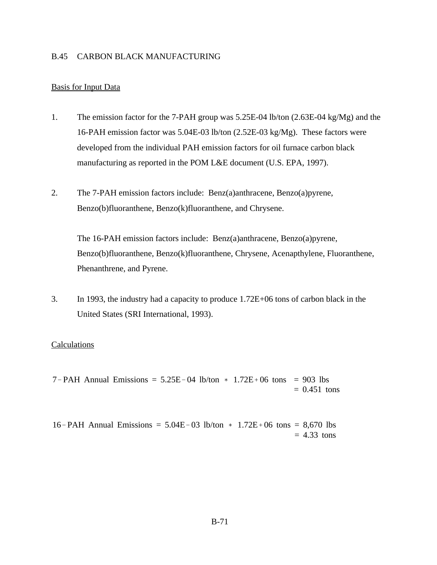#### B.45 CARBON BLACK MANUFACTURING

#### Basis for Input Data

- 1. The emission factor for the 7-PAH group was 5.25E-04 lb/ton (2.63E-04 kg/Mg) and the 16-PAH emission factor was 5.04E-03 lb/ton (2.52E-03 kg/Mg). These factors were developed from the individual PAH emission factors for oil furnace carbon black manufacturing as reported in the POM L&E document (U.S. EPA, 1997).
- 2. The 7-PAH emission factors include: Benz(a)anthracene, Benzo(a)pyrene, Benzo(b)fluoranthene, Benzo(k)fluoranthene, and Chrysene.

The 16-PAH emission factors include: Benz(a)anthracene, Benzo(a)pyrene, Benzo(b)fluoranthene, Benzo(k)fluoranthene, Chrysene, Acenapthylene, Fluoranthene, Phenanthrene, and Pyrene.

3. In 1993, the industry had a capacity to produce 1.72E+06 tons of carbon black in the United States (SRI International, 1993).

#### **Calculations**

 $7$ -PAH Annual Emissions = 5.25E-04 lb/ton  $*$  1.72E+06 tons = 903 lbs  $= 0.451$  tons

16-PAH Annual Emissions =  $5.04E-03$  lb/ton  $*$  1.72E+06 tons = 8,670 lbs  $= 4.33$  tons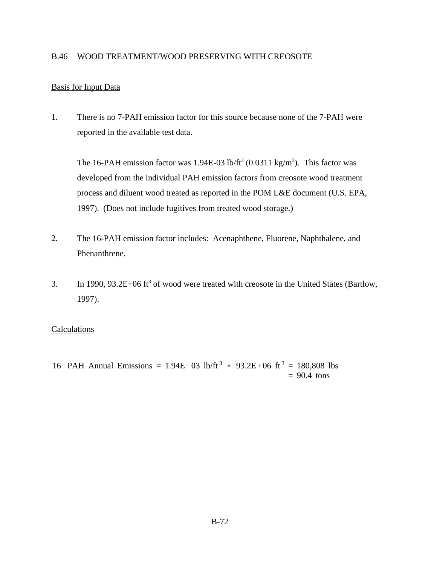#### B.46 WOOD TREATMENT/WOOD PRESERVING WITH CREOSOTE

## Basis for Input Data

1. There is no 7-PAH emission factor for this source because none of the 7-PAH were reported in the available test data.

The 16-PAH emission factor was 1.94E-03 lb/ft<sup>3</sup> (0.0311 kg/m<sup>3</sup>). This factor was developed from the individual PAH emission factors from creosote wood treatment process and diluent wood treated as reported in the POM L&E document (U.S. EPA, 1997). (Does not include fugitives from treated wood storage.)

- 2. The 16-PAH emission factor includes: Acenaphthene, Fluorene, Naphthalene, and Phenanthrene.
- 3. In 1990,  $93.2E+06$  ft<sup>3</sup> of wood were treated with creosote in the United States (Bartlow, 1997).

#### **Calculations**

16-PAH Annual Emissions = 1.94E-03 lb/ft<sup>3</sup>  $*$  93.2E+06 ft<sup>3</sup> = 180,808 lbs  $= 90.4$  tons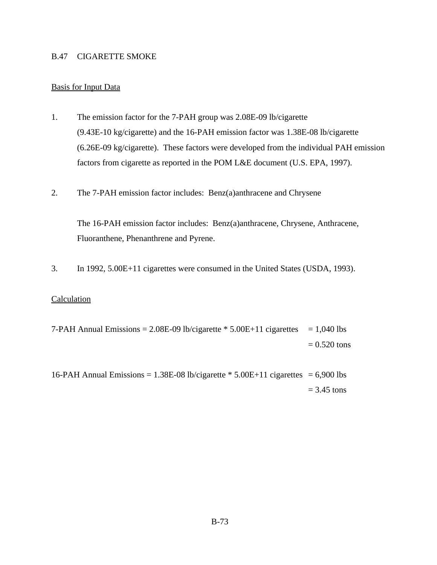#### B.47 CIGARETTE SMOKE

# Basis for Input Data

- 1. The emission factor for the 7-PAH group was 2.08E-09 lb/cigarette (9.43E-10 kg/cigarette) and the 16-PAH emission factor was 1.38E-08 lb/cigarette (6.26E-09 kg/cigarette). These factors were developed from the individual PAH emission factors from cigarette as reported in the POM L&E document (U.S. EPA, 1997).
- 2. The 7-PAH emission factor includes: Benz(a)anthracene and Chrysene

The 16-PAH emission factor includes: Benz(a)anthracene, Chrysene, Anthracene, Fluoranthene, Phenanthrene and Pyrene.

3. In 1992, 5.00E+11 cigarettes were consumed in the United States (USDA, 1993).

#### **Calculation**

7-PAH Annual Emissions =  $2.08E-09$  lb/cigarette  $* 5.00E+11$  cigarettes = 1,040 lbs  $= 0.520$  tons

16-PAH Annual Emissions =  $1.38E-08$  lb/cigarette  $*$  5.00E+11 cigarettes = 6,900 lbs  $= 3.45$  tons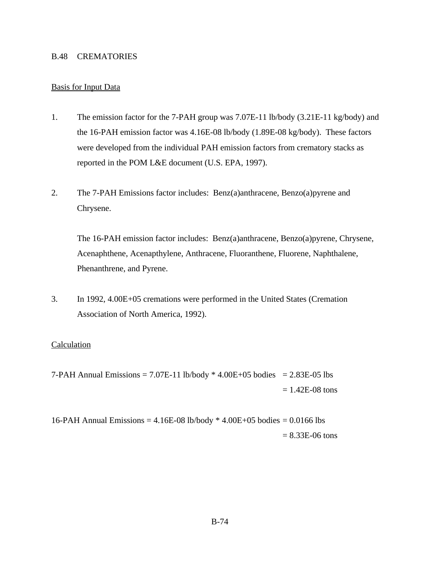#### B.48 CREMATORIES

#### Basis for Input Data

- 1. The emission factor for the 7-PAH group was 7.07E-11 lb/body (3.21E-11 kg/body) and the 16-PAH emission factor was 4.16E-08 lb/body (1.89E-08 kg/body). These factors were developed from the individual PAH emission factors from crematory stacks as reported in the POM L&E document (U.S. EPA, 1997).
- 2. The 7-PAH Emissions factor includes: Benz(a)anthracene, Benzo(a)pyrene and Chrysene.

The 16-PAH emission factor includes: Benz(a)anthracene, Benzo(a)pyrene, Chrysene, Acenaphthene, Acenapthylene, Anthracene, Fluoranthene, Fluorene, Naphthalene, Phenanthrene, and Pyrene.

3. In 1992, 4.00E+05 cremations were performed in the United States (Cremation Association of North America, 1992).

#### **Calculation**

7-PAH Annual Emissions =  $7.07E-11$  lb/body  $*$  4.00E+05 bodies = 2.83E-05 lbs  $= 1.42E-08$  tons

16-PAH Annual Emissions = 4.16E-08 lb/body \* 4.00E+05 bodies = 0.0166 lbs  $= 8.33E-06$  tons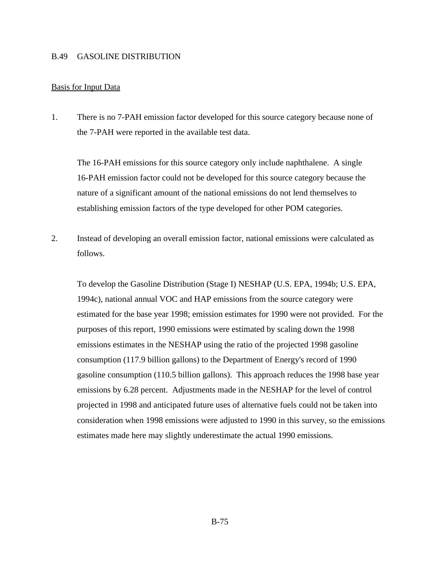#### B.49 GASOLINE DISTRIBUTION

#### Basis for Input Data

1. There is no 7-PAH emission factor developed for this source category because none of the 7-PAH were reported in the available test data.

The 16-PAH emissions for this source category only include naphthalene. A single 16-PAH emission factor could not be developed for this source category because the nature of a significant amount of the national emissions do not lend themselves to establishing emission factors of the type developed for other POM categories.

2. Instead of developing an overall emission factor, national emissions were calculated as follows.

To develop the Gasoline Distribution (Stage I) NESHAP (U.S. EPA, 1994b; U.S. EPA, 1994c), national annual VOC and HAP emissions from the source category were estimated for the base year 1998; emission estimates for 1990 were not provided. For the purposes of this report, 1990 emissions were estimated by scaling down the 1998 emissions estimates in the NESHAP using the ratio of the projected 1998 gasoline consumption (117.9 billion gallons) to the Department of Energy's record of 1990 gasoline consumption (110.5 billion gallons). This approach reduces the 1998 base year emissions by 6.28 percent. Adjustments made in the NESHAP for the level of control projected in 1998 and anticipated future uses of alternative fuels could not be taken into consideration when 1998 emissions were adjusted to 1990 in this survey, so the emissions estimates made here may slightly underestimate the actual 1990 emissions.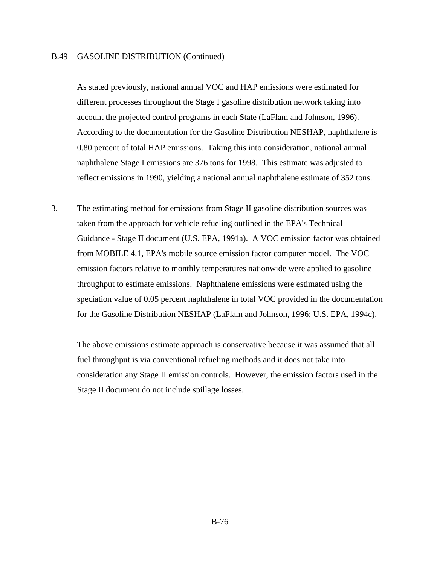#### B.49 GASOLINE DISTRIBUTION (Continued)

As stated previously, national annual VOC and HAP emissions were estimated for different processes throughout the Stage I gasoline distribution network taking into account the projected control programs in each State (LaFlam and Johnson, 1996). According to the documentation for the Gasoline Distribution NESHAP, naphthalene is 0.80 percent of total HAP emissions. Taking this into consideration, national annual naphthalene Stage I emissions are 376 tons for 1998. This estimate was adjusted to reflect emissions in 1990, yielding a national annual naphthalene estimate of 352 tons.

3. The estimating method for emissions from Stage II gasoline distribution sources was taken from the approach for vehicle refueling outlined in the EPA's Technical Guidance - Stage II document (U.S. EPA, 1991a). A VOC emission factor was obtained from MOBILE 4.1, EPA's mobile source emission factor computer model. The VOC emission factors relative to monthly temperatures nationwide were applied to gasoline throughput to estimate emissions. Naphthalene emissions were estimated using the speciation value of 0.05 percent naphthalene in total VOC provided in the documentation for the Gasoline Distribution NESHAP (LaFlam and Johnson, 1996; U.S. EPA, 1994c).

The above emissions estimate approach is conservative because it was assumed that all fuel throughput is via conventional refueling methods and it does not take into consideration any Stage II emission controls. However, the emission factors used in the Stage II document do not include spillage losses.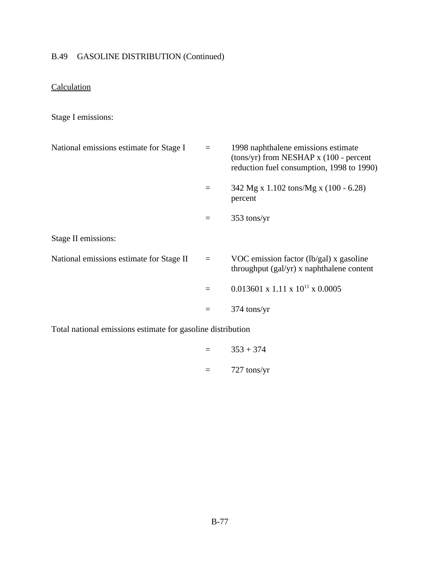# B.49 GASOLINE DISTRIBUTION (Continued)

# **Calculation**

# Stage I emissions:

| National emissions estimate for Stage I                     | $\equiv$ | 1998 naphthalene emissions estimate<br>$(tons/yr)$ from NESHAP x (100 - percent<br>reduction fuel consumption, 1998 to 1990) |
|-------------------------------------------------------------|----------|------------------------------------------------------------------------------------------------------------------------------|
|                                                             |          | 342 Mg x 1.102 tons/Mg x $(100 - 6.28)$<br>percent                                                                           |
|                                                             | $\equiv$ | 353 tons/yr                                                                                                                  |
| Stage II emissions:                                         |          |                                                                                                                              |
| National emissions estimate for Stage II                    | $\equiv$ | VOC emission factor $(lb/gal)$ x gasoline<br>throughput (gal/yr) x naphthalene content                                       |
|                                                             |          | $0.013601 \times 1.11 \times 10^{11} \times 0.0005$                                                                          |
|                                                             | $\equiv$ | $374$ tons/yr                                                                                                                |
| Total national emissions estimate for gasoline distribution |          |                                                                                                                              |

 $=$  353 + 374 = 727 tons/yr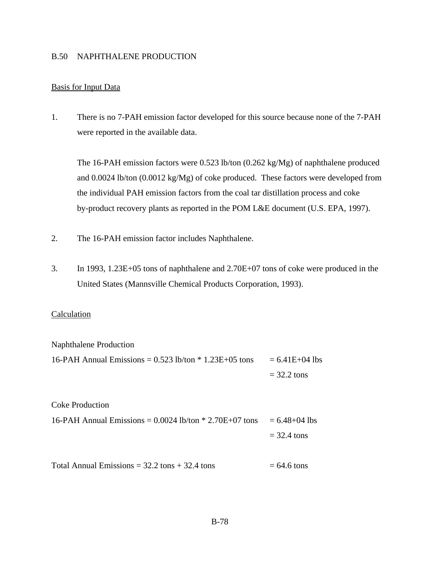#### B.50 NAPHTHALENE PRODUCTION

#### Basis for Input Data

1. There is no 7-PAH emission factor developed for this source because none of the 7-PAH were reported in the available data.

The 16-PAH emission factors were 0.523 lb/ton (0.262 kg/Mg) of naphthalene produced and 0.0024 lb/ton (0.0012 kg/Mg) of coke produced. These factors were developed from the individual PAH emission factors from the coal tar distillation process and coke by-product recovery plants as reported in the POM L&E document (U.S. EPA, 1997).

- 2. The 16-PAH emission factor includes Naphthalene.
- 3. In 1993, 1.23E+05 tons of naphthalene and 2.70E+07 tons of coke were produced in the United States (Mannsville Chemical Products Corporation, 1993).

#### Calculation

| Naphthalene Production                                     |                    |
|------------------------------------------------------------|--------------------|
| 16-PAH Annual Emissions = $0.523$ lb/ton $*$ 1.23E+05 tons | $= 6.41E + 04$ lbs |
|                                                            | $=$ 32.2 tons      |
|                                                            |                    |

Coke Production 16-PAH Annual Emissions =  $0.0024$  lb/ton  $*$  2.70E+07 tons =  $6.48+04$  lbs  $= 32.4$  tons

Total Annual Emissions =  $32.2 \text{ tons} + 32.4 \text{ tons}$  = 64.6 tons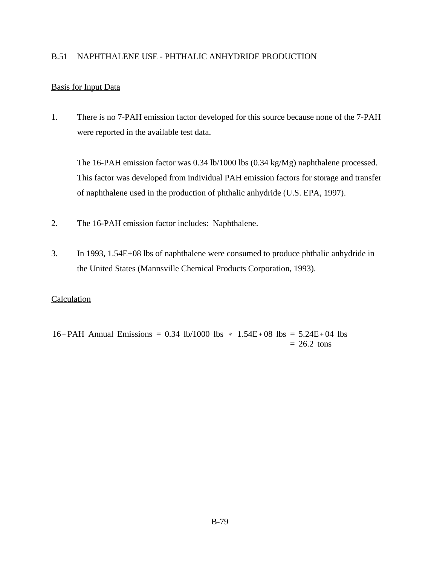## B.51 NAPHTHALENE USE - PHTHALIC ANHYDRIDE PRODUCTION

# Basis for Input Data

1. There is no 7-PAH emission factor developed for this source because none of the 7-PAH were reported in the available test data.

The 16-PAH emission factor was 0.34 lb/1000 lbs (0.34 kg/Mg) naphthalene processed. This factor was developed from individual PAH emission factors for storage and transfer of naphthalene used in the production of phthalic anhydride (U.S. EPA, 1997).

- 2. The 16-PAH emission factor includes: Naphthalene.
- 3. In 1993, 1.54E+08 lbs of naphthalene were consumed to produce phthalic anhydride in the United States (Mannsville Chemical Products Corporation, 1993).

## **Calculation**

16-PAH Annual Emissions = 0.34 lb/1000 lbs  $*$  1.54E + 08 lbs = 5.24E + 04 lbs  $= 26.2$  tons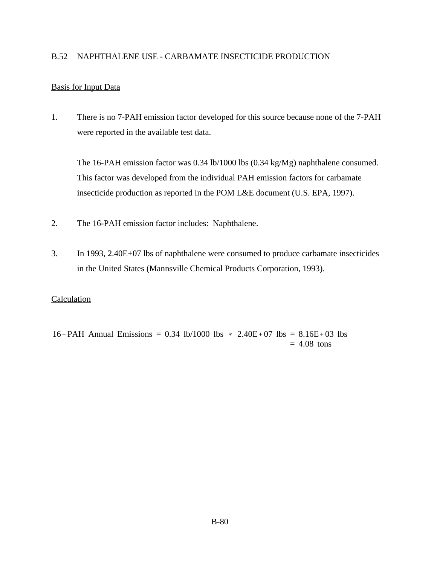## B.52 NAPHTHALENE USE - CARBAMATE INSECTICIDE PRODUCTION

## Basis for Input Data

1. There is no 7-PAH emission factor developed for this source because none of the 7-PAH were reported in the available test data.

The 16-PAH emission factor was 0.34 lb/1000 lbs (0.34 kg/Mg) naphthalene consumed. This factor was developed from the individual PAH emission factors for carbamate insecticide production as reported in the POM L&E document (U.S. EPA, 1997).

- 2. The 16-PAH emission factor includes: Naphthalene.
- 3. In 1993, 2.40E+07 lbs of naphthalene were consumed to produce carbamate insecticides in the United States (Mannsville Chemical Products Corporation, 1993).

## **Calculation**

16-PAH Annual Emissions = 0.34 lb/1000 lbs  $*$  2.40E + 07 lbs = 8.16E + 03 lbs  $= 4.08$  tons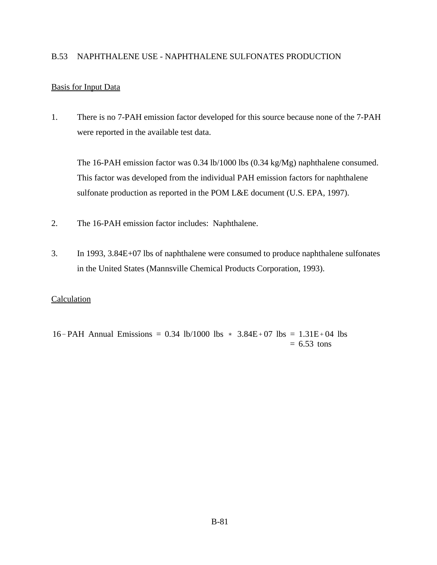## B.53 NAPHTHALENE USE - NAPHTHALENE SULFONATES PRODUCTION

## Basis for Input Data

1. There is no 7-PAH emission factor developed for this source because none of the 7-PAH were reported in the available test data.

The 16-PAH emission factor was 0.34 lb/1000 lbs (0.34 kg/Mg) naphthalene consumed. This factor was developed from the individual PAH emission factors for naphthalene sulfonate production as reported in the POM L&E document (U.S. EPA, 1997).

- 2. The 16-PAH emission factor includes: Naphthalene.
- 3. In 1993, 3.84E+07 lbs of naphthalene were consumed to produce naphthalene sulfonates in the United States (Mannsville Chemical Products Corporation, 1993).

#### **Calculation**

16-PAH Annual Emissions = 0.34 lb/1000 lbs  $*$  3.84E+07 lbs = 1.31E+04 lbs  $= 6.53$  tons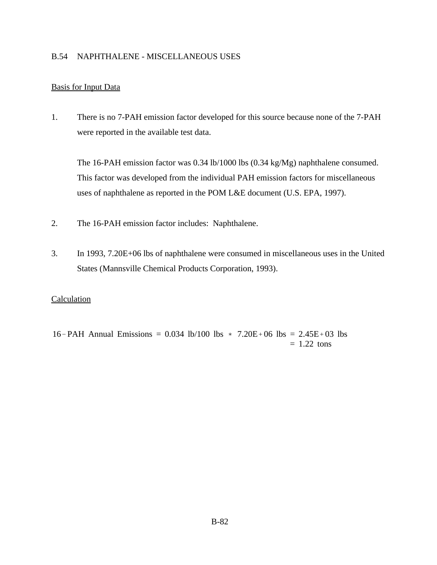## B.54 NAPHTHALENE - MISCELLANEOUS USES

## Basis for Input Data

1. There is no 7-PAH emission factor developed for this source because none of the 7-PAH were reported in the available test data.

The 16-PAH emission factor was 0.34 lb/1000 lbs (0.34 kg/Mg) naphthalene consumed. This factor was developed from the individual PAH emission factors for miscellaneous uses of naphthalene as reported in the POM L&E document (U.S. EPA, 1997).

- 2. The 16-PAH emission factor includes: Naphthalene.
- 3. In 1993, 7.20E+06 lbs of naphthalene were consumed in miscellaneous uses in the United States (Mannsville Chemical Products Corporation, 1993).

## **Calculation**

16-PAH Annual Emissions = 0.034 lb/100 lbs  $*$  7.20E+06 lbs = 2.45E+03 lbs  $= 1.22$  tons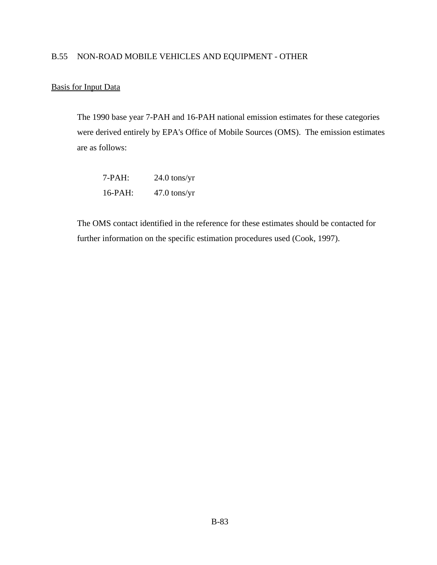## B.55 NON-ROAD MOBILE VEHICLES AND EQUIPMENT - OTHER

## Basis for Input Data

The 1990 base year 7-PAH and 16-PAH national emission estimates for these categories were derived entirely by EPA's Office of Mobile Sources (OMS). The emission estimates are as follows:

| 7-PAH:  | $24.0$ tons/yr |
|---------|----------------|
| 16-PAH: | $47.0$ tons/yr |

The OMS contact identified in the reference for these estimates should be contacted for further information on the specific estimation procedures used (Cook, 1997).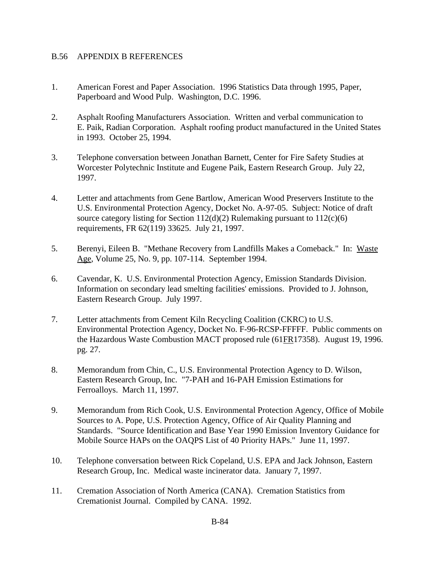## B.56 APPENDIX B REFERENCES

- 1. American Forest and Paper Association. 1996 Statistics Data through 1995, Paper, Paperboard and Wood Pulp. Washington, D.C. 1996.
- 2. Asphalt Roofing Manufacturers Association. Written and verbal communication to E. Paik, Radian Corporation. Asphalt roofing product manufactured in the United States in 1993. October 25, 1994.
- 3. Telephone conversation between Jonathan Barnett, Center for Fire Safety Studies at Worcester Polytechnic Institute and Eugene Paik, Eastern Research Group. July 22, 1997.
- 4. Letter and attachments from Gene Bartlow, American Wood Preservers Institute to the U.S. Environmental Protection Agency, Docket No. A-97-05. Subject: Notice of draft source category listing for Section  $112(d)(2)$  Rulemaking pursuant to  $112(c)(6)$ requirements, FR 62(119) 33625. July 21, 1997.
- 5. Berenyi, Eileen B. "Methane Recovery from Landfills Makes a Comeback." In: Waste Age, Volume 25, No. 9, pp. 107-114. September 1994.
- 6. Cavendar, K. U.S. Environmental Protection Agency, Emission Standards Division. Information on secondary lead smelting facilities' emissions. Provided to J. Johnson, Eastern Research Group. July 1997.
- 7. Letter attachments from Cement Kiln Recycling Coalition (CKRC) to U.S. Environmental Protection Agency, Docket No. F-96-RCSP-FFFFF. Public comments on the Hazardous Waste Combustion MACT proposed rule (61FR17358). August 19, 1996. pg. 27.
- 8. Memorandum from Chin, C., U.S. Environmental Protection Agency to D. Wilson, Eastern Research Group, Inc. "7-PAH and 16-PAH Emission Estimations for Ferroalloys. March 11, 1997.
- 9. Memorandum from Rich Cook, U.S. Environmental Protection Agency, Office of Mobile Sources to A. Pope, U.S. Protection Agency, Office of Air Quality Planning and Standards. "Source Identification and Base Year 1990 Emission Inventory Guidance for Mobile Source HAPs on the OAQPS List of 40 Priority HAPs." June 11, 1997.
- 10. Telephone conversation between Rick Copeland, U.S. EPA and Jack Johnson, Eastern Research Group, Inc. Medical waste incinerator data. January 7, 1997.
- 11. Cremation Association of North America (CANA). Cremation Statistics from Cremationist Journal. Compiled by CANA. 1992.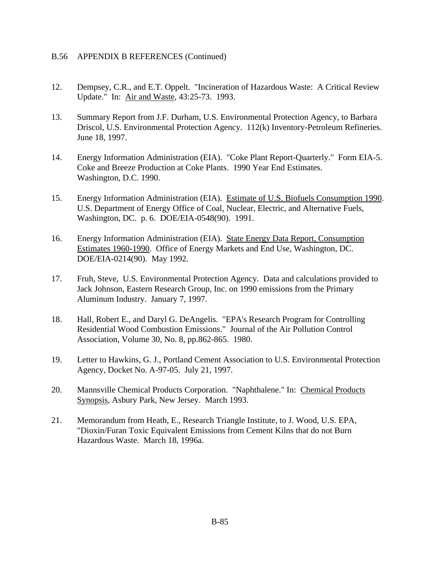- 12. Dempsey, C.R., and E.T. Oppelt. "Incineration of Hazardous Waste: A Critical Review Update." In: Air and Waste, 43:25-73. 1993.
- 13. Summary Report from J.F. Durham, U.S. Environmental Protection Agency, to Barbara Driscol, U.S. Environmental Protection Agency. 112(k) Inventory-Petroleum Refineries. June 18, 1997.
- 14. Energy Information Administration (EIA). "Coke Plant Report-Quarterly." Form EIA-5. Coke and Breeze Production at Coke Plants. 1990 Year End Estimates. Washington, D.C. 1990.
- 15. Energy Information Administration (EIA). Estimate of U.S. Biofuels Consumption 1990. U.S. Department of Energy Office of Coal, Nuclear, Electric, and Alternative Fuels, Washington, DC. p. 6. DOE/EIA-0548(90). 1991.
- 16. Energy Information Administration (EIA). State Energy Data Report, Consumption Estimates 1960-1990. Office of Energy Markets and End Use, Washington, DC. DOE/EIA-0214(90). May 1992.
- 17. Fruh, Steve, U.S. Environmental Protection Agency. Data and calculations provided to Jack Johnson, Eastern Research Group, Inc. on 1990 emissions from the Primary Aluminum Industry. January 7, 1997.
- 18. Hall, Robert E., and Daryl G. DeAngelis. "EPA's Research Program for Controlling Residential Wood Combustion Emissions." Journal of the Air Pollution Control Association, Volume 30, No. 8, pp.862-865. 1980.
- 19. Letter to Hawkins, G. J., Portland Cement Association to U.S. Environmental Protection Agency, Docket No. A-97-05. July 21, 1997.
- 20. Mannsville Chemical Products Corporation. "Naphthalene." In: Chemical Products Synopsis, Asbury Park, New Jersey. March 1993.
- 21. Memorandum from Heath, E., Research Triangle Institute, to J. Wood, U.S. EPA, "Dioxin/Furan Toxic Equivalent Emissions from Cement Kilns that do not Burn Hazardous Waste. March 18, 1996a.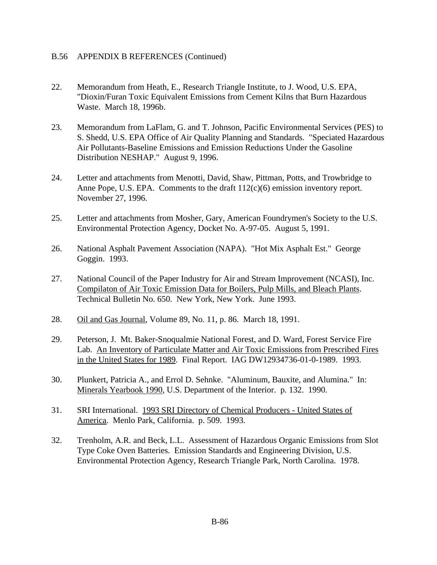- 22. Memorandum from Heath, E., Research Triangle Institute, to J. Wood, U.S. EPA, "Dioxin/Furan Toxic Equivalent Emissions from Cement Kilns that Burn Hazardous Waste. March 18, 1996b.
- 23. Memorandum from LaFlam, G. and T. Johnson, Pacific Environmental Services (PES) to S. Shedd, U.S. EPA Office of Air Quality Planning and Standards. "Speciated Hazardous Air Pollutants-Baseline Emissions and Emission Reductions Under the Gasoline Distribution NESHAP." August 9, 1996.
- 24. Letter and attachments from Menotti, David, Shaw, Pittman, Potts, and Trowbridge to Anne Pope, U.S. EPA. Comments to the draft  $112(c)(6)$  emission inventory report. November 27, 1996.
- 25. Letter and attachments from Mosher, Gary, American Foundrymen's Society to the U.S. Environmental Protection Agency, Docket No. A-97-05. August 5, 1991.
- 26. National Asphalt Pavement Association (NAPA). "Hot Mix Asphalt Est." George Goggin. 1993.
- 27. National Council of the Paper Industry for Air and Stream Improvement (NCASI), Inc. Compilaton of Air Toxic Emission Data for Boilers, Pulp Mills, and Bleach Plants. Technical Bulletin No. 650. New York, New York. June 1993.
- 28. Oil and Gas Journal, Volume 89, No. 11, p. 86. March 18, 1991.
- 29. Peterson, J. Mt. Baker-Snoqualmie National Forest, and D. Ward, Forest Service Fire Lab. An Inventory of Particulate Matter and Air Toxic Emissions from Prescribed Fires in the United States for 1989. Final Report. IAG DW12934736-01-0-1989. 1993.
- 30. Plunkert, Patricia A., and Errol D. Sehnke. "Aluminum, Bauxite, and Alumina." In: Minerals Yearbook 1990, U.S. Department of the Interior. p. 132. 1990.
- 31. SRI International. 1993 SRI Directory of Chemical Producers United States of America. Menlo Park, California. p. 509. 1993.
- 32. Trenholm, A.R. and Beck, L.L. Assessment of Hazardous Organic Emissions from Slot Type Coke Oven Batteries. Emission Standards and Engineering Division, U.S. Environmental Protection Agency, Research Triangle Park, North Carolina. 1978.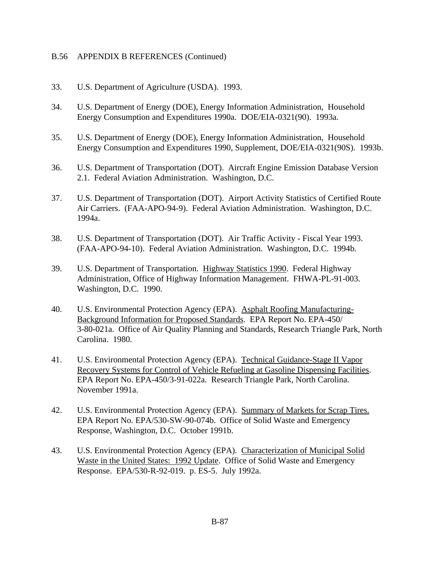- 33. U.S. Department of Agriculture (USDA). 1993.
- 34. U.S. Department of Energy (DOE), Energy Information Administration, Household Energy Consumption and Expenditures 1990a. DOE/EIA-0321(90). 1993a.
- 35. U.S. Department of Energy (DOE), Energy Information Administration, Household Energy Consumption and Expenditures 1990, Supplement, DOE/EIA-0321(90S). 1993b.
- 36. U.S. Department of Transportation (DOT). Aircraft Engine Emission Database Version 2.1. Federal Aviation Administration. Washington, D.C.
- 37. U.S. Department of Transportation (DOT). Airport Activity Statistics of Certified Route Air Carriers. (FAA-APO-94-9). Federal Aviation Administration. Washington, D.C. 1994a.
- 38. U.S. Department of Transportation (DOT). Air Traffic Activity Fiscal Year 1993. (FAA-APO-94-10). Federal Aviation Administration. Washington, D.C. 1994b.
- 39. U.S. Department of Transportation. Highway Statistics 1990. Federal Highway Administration, Office of Highway Information Management. FHWA-PL-91-003. Washington, D.C. 1990.
- 40. U.S. Environmental Protection Agency (EPA). Asphalt Roofing Manufacturing-Background Information for Proposed Standards. EPA Report No. EPA-450/ 3-80-021a. Office of Air Quality Planning and Standards, Research Triangle Park, North Carolina. 1980.
- 41. U.S. Environmental Protection Agency (EPA). Technical Guidance-Stage II Vapor Recovery Systems for Control of Vehicle Refueling at Gasoline Dispensing Facilities. EPA Report No. EPA-450/3-91-022a. Research Triangle Park, North Carolina. November 1991a.
- 42. U.S. Environmental Protection Agency (EPA). Summary of Markets for Scrap Tires. EPA Report No. EPA/530-SW-90-074b. Office of Solid Waste and Emergency Response, Washington, D.C. October 1991b.
- 43. U.S. Environmental Protection Agency (EPA). Characterization of Municipal Solid Waste in the United States: 1992 Update. Office of Solid Waste and Emergency Response. EPA/530-R-92-019. p. ES-5. July 1992a.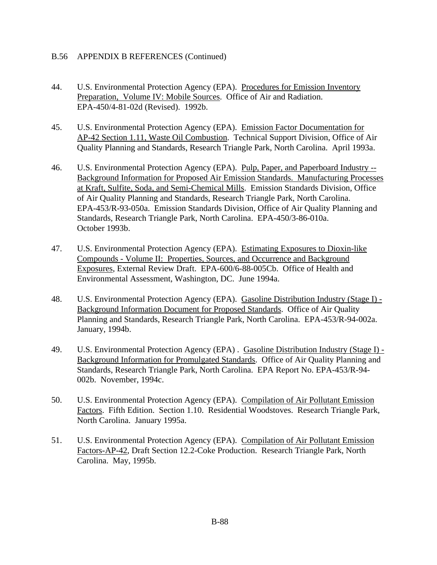- 44. U.S. Environmental Protection Agency (EPA). Procedures for Emission Inventory Preparation, Volume IV: Mobile Sources. Office of Air and Radiation. EPA-450/4-81-02d (Revised). 1992b.
- 45. U.S. Environmental Protection Agency (EPA). Emission Factor Documentation for AP-42 Section 1.11, Waste Oil Combustion. Technical Support Division, Office of Air Quality Planning and Standards, Research Triangle Park, North Carolina. April 1993a.
- 46. U.S. Environmental Protection Agency (EPA). Pulp, Paper, and Paperboard Industry --Background Information for Proposed Air Emission Standards. Manufacturing Processes at Kraft, Sulfite, Soda, and Semi-Chemical Mills. Emission Standards Division, Office of Air Quality Planning and Standards, Research Triangle Park, North Carolina. EPA-453/R-93-050a. Emission Standards Division, Office of Air Quality Planning and Standards, Research Triangle Park, North Carolina. EPA-450/3-86-010a. October 1993b.
- 47. U.S. Environmental Protection Agency (EPA). Estimating Exposures to Dioxin-like Compounds - Volume II: Properties, Sources, and Occurrence and Background Exposures, External Review Draft. EPA-600/6-88-005Cb. Office of Health and Environmental Assessment, Washington, DC. June 1994a.
- 48. U.S. Environmental Protection Agency (EPA). Gasoline Distribution Industry (Stage I) Background Information Document for Proposed Standards. Office of Air Quality Planning and Standards, Research Triangle Park, North Carolina. EPA-453/R-94-002a. January, 1994b.
- 49. U.S. Environmental Protection Agency (EPA) . Gasoline Distribution Industry (Stage I) Background Information for Promulgated Standards. Office of Air Quality Planning and Standards, Research Triangle Park, North Carolina. EPA Report No. EPA-453/R-94- 002b. November, 1994c.
- 50. U.S. Environmental Protection Agency (EPA). Compilation of Air Pollutant Emission Factors. Fifth Edition. Section 1.10. Residential Woodstoves. Research Triangle Park, North Carolina. January 1995a.
- 51. U.S. Environmental Protection Agency (EPA). Compilation of Air Pollutant Emission Factors-AP-42, Draft Section 12.2-Coke Production. Research Triangle Park, North Carolina. May, 1995b.